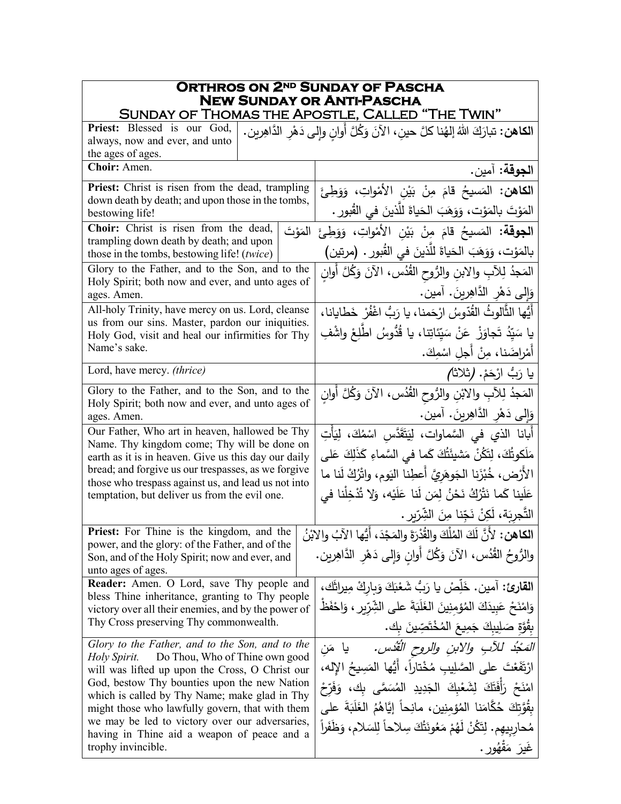## **ORTHROS ON 2<sup>ND</sup> SUNDAY OF PASCHA<br>NEW SUNDAY OR ANTI-PASCHA<br>SUNDAY OF THOMAS THE APOSTLE, CALLED "THE TWIN"**

| Priest: Blessed is our God,<br>always, now and ever, and unto                                          | ا <b>لكاهن:</b> تبارَكَ اللهُ إلهُنا كلَّ حينِ، الآنَ وَكُلَّ أُوانِ وإِلى دَهْرِ الدَّاهِرين. |
|--------------------------------------------------------------------------------------------------------|------------------------------------------------------------------------------------------------|
| the ages of ages.<br>Choir: Amen.                                                                      |                                                                                                |
|                                                                                                        | ا <b>لجوقة:</b> آمين.                                                                          |
| Priest: Christ is risen from the dead, trampling<br>down death by death; and upon those in the tombs,  | ا <b>لكاهن:</b> المَسيحُ قامَ مِنْ بَيْنِ الأَمْواتِ، وَوَطِئَ                                 |
| bestowing life!                                                                                        | المَوْتَ بالمَوْت، وَوَهَبَ الحَياةَ للَّذينَ في القُبورِ .                                    |
| Choir: Christ is risen from the dead,<br>المَوْتَ                                                      | ا <b>لجوقة:</b> المَسيحُ قامَ مِنْ بَيْنِ الأَمْواتِ، وَوَطِئَ                                 |
| trampling down death by death; and upon<br>those in the tombs, bestowing life! (twice)                 | بالمَوْت، وَوَهَبَ الحَياةَ للَّذينَ في القُبور . (مرتين)                                      |
| Glory to the Father, and to the Son, and to the                                                        | المَجدُ لِلآبِ والابنِ والرُّوحِ القُدُسِ، الآنَ وَكُلَّ أَوانِ                                |
| Holy Spirit; both now and ever, and unto ages of<br>ages. Amen.                                        | وَإِلَى دَهْرِ الدَّاهِرِينَ. أمين.                                                            |
| All-holy Trinity, have mercy on us. Lord, cleanse                                                      | أَيُّها الثَّالوثُ القُدّوسُ ارْحَمنا، يا رَبُّ اغْفُرْ خَطايانا،                              |
| us from our sins. Master, pardon our iniquities.<br>Holy God, visit and heal our infirmities for Thy   | يا سَيِّدُ تَجاوَزْ عَنْ سَيِّئاتِنا، يا قُدُّوسُ اطْلِعْ واشْفِ                               |
| Name's sake.                                                                                           | أَمْراضَنا، مِنْ أَجلِ اسْمِكَ.                                                                |
| Lord, have mercy. (thrice)                                                                             | يا رَبُّ ارْحَمْ. (ثلاثاً)                                                                     |
| Glory to the Father, and to the Son, and to the                                                        | المَجدُ لِلآبِ والابْنِ والرُّوحِ القُدُسِ، الآنَ وَكُلَّ أَوانِ                               |
| Holy Spirit; both now and ever, and unto ages of<br>ages. Amen.                                        | وَإِلَى دَهْرِ الدَّاهِرِينَ. آمين.                                                            |
| Our Father, Who art in heaven, hallowed be Thy                                                         | أبانا الذي في السَّماوات، لِيَتَقَدَّس اسْمُكَ، لِيَأْتِ                                       |
| Name. Thy kingdom come; Thy will be done on<br>earth as it is in heaven. Give us this day our daily    | مَلَكوتُكَ، لِتَكُنْ مَشيئَتُكَ كَما في السَّماءِ كَذَلِكَ عَلى                                |
| bread; and forgive us our trespasses, as we forgive                                                    | الأَرْض، خُبْزَنا الْجَوهَرِيَّ أَعطِنا اليَومِ، واتْرُكْ لَنا ما                              |
| those who trespass against us, and lead us not into<br>temptation, but deliver us from the evil one.   | عَلَينا كَما نَتْرُكُ نَحْنُ لِمَن لَنا عَلَيْه، وَلا تُذْخِلْنا في                            |
|                                                                                                        |                                                                                                |
| Priest: For Thine is the kingdom, and the                                                              | التَّجرِيَة، لَكِنْ نَجِّنا مِنَ الشِّرِّيرِ .                                                 |
| power, and the glory: of the Father, and of the                                                        | ا <b>لكاهن:</b> لأَنَّ لَكَ المُلْكَ والقُدْرَةَ والمَجْدَ، أَيُّها الآبُ والابْنُ             |
| Son, and of the Holy Spirit; now and ever, and<br>unto ages of ages.                                   | والرُّوحُ القُدُسِ، الآنَ وَكُلَّ أُوانٍ وَإِلَى دَهْرِ الدَّاهِرِينِ.                         |
| <b>Reader:</b> Amen. O Lord, save Thy people and                                                       | القارئ: آمين. خَلِّصْ يا رَبُّ شَعْبَكَ وَبِارِكْ مِيراثَك،                                    |
| bless Thine inheritance, granting to Thy people<br>victory over all their enemies, and by the power of | وَامْنَحْ عَبِيدَكَ الْمُؤْمِنِينَ الْغَلَبَةَ على الشِّرِّيرِ ، وَاحْفَظ                      |
| Thy Cross preserving Thy commonwealth.                                                                 | بِقُوَّةٍ صَلِيبِكَ جَمِيعَ الْمُخْتَصِّينَ بِك.                                               |
| Glory to the Father, and to the Son, and to the                                                        | الْمَجْدُ لِلْأَبِ وِالِابنِ وِالروحِ الْقُدْسِ.<br>يا مَن                                     |
| Do Thou, Who of Thine own good<br>Holy Spirit.<br>will was lifted up upon the Cross, O Christ our      | ارْتَفَعْتَ على الصَّلِيبِ مُخْتاراً، أَيُّها المَسِيحُ الإله،                                 |
| God, bestow Thy bounties upon the new Nation<br>which is called by Thy Name; make glad in Thy          | امْنَحْ رَأْفَتَكَ لِشَعْبِكَ الْجَدِيدِ الْمُسَمَّى بِكَ، وَفَرّحْ                            |
| might those who lawfully govern, that with them                                                        | بِقُوَّتِكَ حُكَّامَنا الْمُؤْمِنِينِ، مانِحاً إِيَّاهُمُ الغَلَبَةَ على                       |
| we may be led to victory over our adversaries,<br>having in Thine aid a weapon of peace and a          | مُحارِبيهم. لِتَكُنْ لَهُمْ مَعُونَتُكَ سِلاحاً لِلسَلامِ، وَظَفَراً                           |
| trophy invincible.                                                                                     | غَيرَ مَقَهُورٍ .                                                                              |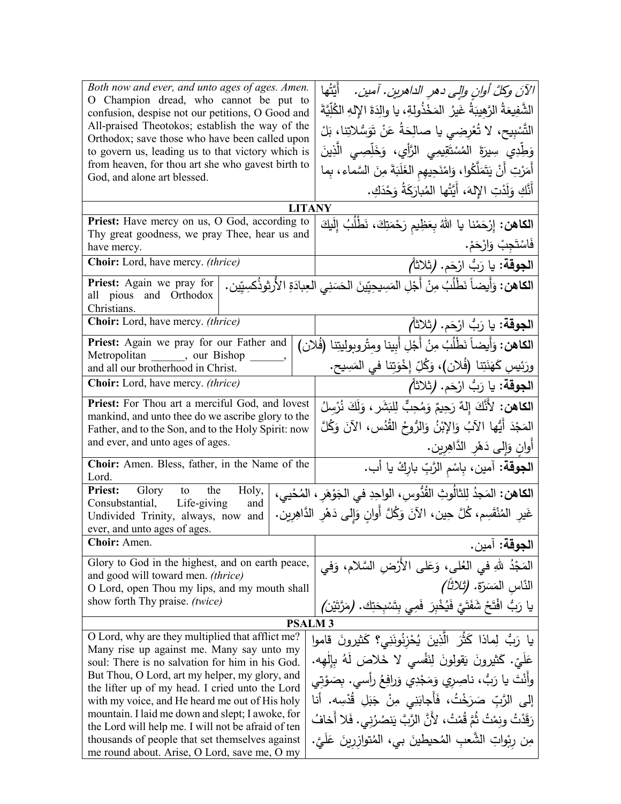| Both now and ever, and unto ages of ages. Amen.<br>O Champion dread, who cannot be put to<br>confusion, despise not our petitions, O Good and<br>All-praised Theotokos; establish the way of the<br>Orthodox; save those who have been called upon<br>to govern us, leading us to that victory which is<br>from heaven, for thou art she who gavest birth to<br>God, and alone art blessed.                                                                          |  | الآنَ وكلَّ أوانِ وإلى دهرِ الداهرينِ. آمينِ.    أَيَّتُها<br>الشَّفِيعَةُ الرَّهيبَةُ غَيرُ المَخْذُولةِ، يا والِدَةَ الإِلهِ الكُلِّيَّةَ<br>التَّسْبِيح، لا تُعْرِضِي يا صالِحَةُ عَنْ تَوَسُّلاتِنا، بَلْ<br>وَطِّدِي سِيرَةَ المُسْتَقِيمِى الرَّأْيِ، وَخَلِّصِى الَّذِينَ<br>أَمَرْتِ أَنْ يَتَمَلَّكُوا، وَامْنَحِيهِم الْغَلَبَةَ مِنَ السَّماء، بِما<br>أَنَّكِ وَلَدْتِ الإِلهَ، أَيَّتُها المُبارَكَةُ وَحْذَكِ. |                                                                                                                                                                                                                                                                                                                                                                                                             |
|----------------------------------------------------------------------------------------------------------------------------------------------------------------------------------------------------------------------------------------------------------------------------------------------------------------------------------------------------------------------------------------------------------------------------------------------------------------------|--|------------------------------------------------------------------------------------------------------------------------------------------------------------------------------------------------------------------------------------------------------------------------------------------------------------------------------------------------------------------------------------------------------------------------------|-------------------------------------------------------------------------------------------------------------------------------------------------------------------------------------------------------------------------------------------------------------------------------------------------------------------------------------------------------------------------------------------------------------|
|                                                                                                                                                                                                                                                                                                                                                                                                                                                                      |  | <b>LITANY</b>                                                                                                                                                                                                                                                                                                                                                                                                                |                                                                                                                                                                                                                                                                                                                                                                                                             |
| Priest: Have mercy on us, O God, according to<br>Thy great goodness, we pray Thee, hear us and<br>have mercy.                                                                                                                                                                                                                                                                                                                                                        |  |                                                                                                                                                                                                                                                                                                                                                                                                                              | ا <b>لكاهن:</b> إِرْحَمْنا يا اللهُ بِعَظِيمِ رَحْمَتِكَ، نَطْلُبُ إِلَيكَ<br>فَاسْتَجِبْ وَارْحَمْ.                                                                                                                                                                                                                                                                                                        |
| Choir: Lord, have mercy. (thrice)                                                                                                                                                                                                                                                                                                                                                                                                                                    |  |                                                                                                                                                                                                                                                                                                                                                                                                                              | الجوقة: يا رَبُّ ارْحَم. (ثلاثاً)                                                                                                                                                                                                                                                                                                                                                                           |
| Priest: Again we pray for<br>all pious and Orthodox<br>Christians.                                                                                                                                                                                                                                                                                                                                                                                                   |  |                                                                                                                                                                                                                                                                                                                                                                                                                              | ا <b>لكاهن:</b> وَأَيضاً نَطْلُبُ مِنْ أَجْلِ المَسِيحِيِّينَ الحَسَنِي العِبادَةِ الأَرثوذُكسِيِّين.                                                                                                                                                                                                                                                                                                       |
| Choir: Lord, have mercy. (thrice)                                                                                                                                                                                                                                                                                                                                                                                                                                    |  |                                                                                                                                                                                                                                                                                                                                                                                                                              | ا <b>لجوقة:</b> يا رَبُّ ارْحَم. (ثلاثاً <i>)</i>                                                                                                                                                                                                                                                                                                                                                           |
| Priest: Again we pray for our Father and                                                                                                                                                                                                                                                                                                                                                                                                                             |  |                                                                                                                                                                                                                                                                                                                                                                                                                              | الكاهن: وَأَيضاً نَطْلُبُ مِنْ أَجْلِ أَبِينا ومِتْروبولِيتِنا (فُلان)                                                                                                                                                                                                                                                                                                                                      |
| Metropolitan ______, our Bishop<br>and all our brotherhood in Christ.                                                                                                                                                                                                                                                                                                                                                                                                |  |                                                                                                                                                                                                                                                                                                                                                                                                                              | ورَئِيسِ كَهَنَتِنا (فُلان)، وَكُلِّ إِخْوَتِنا في المَسِيح.                                                                                                                                                                                                                                                                                                                                                |
| <b>Choir:</b> Lord, have mercy. <i>(thrice)</i>                                                                                                                                                                                                                                                                                                                                                                                                                      |  |                                                                                                                                                                                                                                                                                                                                                                                                                              | ا <b>لجوقة:</b> يا رَبُّ ارْحَم. (تْلاثاً <i>)</i>                                                                                                                                                                                                                                                                                                                                                          |
| Priest: For Thou art a merciful God, and lovest<br>mankind, and unto thee do we ascribe glory to the<br>Father, and to the Son, and to the Holy Spirit: now                                                                                                                                                                                                                                                                                                          |  | ا <b>لكاهن:</b> لأَنَّكَ إِلهٌ رَحِيمٌ وَمُحِبٌّ لِلبَشَرِ ، وَلَكَ نُرْسِلُ<br>المَجْدَ أَيُّها الآبُ وَالإِبْنُ وَالرُّوحُ الْقُدُسِ، الآنَ وَكُلَّ                                                                                                                                                                                                                                                                        |                                                                                                                                                                                                                                                                                                                                                                                                             |
| and ever, and unto ages of ages.                                                                                                                                                                                                                                                                                                                                                                                                                                     |  | أُوانِ وَإِلَى دَهْرِ الدَّاهِرِينِ.                                                                                                                                                                                                                                                                                                                                                                                         |                                                                                                                                                                                                                                                                                                                                                                                                             |
| Choir: Amen. Bless, father, in the Name of the<br>Lord.                                                                                                                                                                                                                                                                                                                                                                                                              |  | ا <b>لجوقة:</b> آمين، بِاسْمِ الزَّبِّ بارِكْ يا أب.                                                                                                                                                                                                                                                                                                                                                                         |                                                                                                                                                                                                                                                                                                                                                                                                             |
| <b>Priest:</b> Glory to the<br>Holy,<br>Consubstantial, Life-giving<br>and<br>Undivided Trinity, always, now and<br>ever, and unto ages of ages                                                                                                                                                                                                                                                                                                                      |  | ا <b>لكاهن:</b> المَجدُ لِلثالُوثِ القُدُّوسِ، الواحِدِ في الجَوْهَرِ ، المُحْيي،<br>غَيرِ المُنْقَسِم، كُلَّ حِين، الآنَ وَكُلَّ أُوانٍ وَإِلى دَهْرِ الدَّاهِرِين.                                                                                                                                                                                                                                                         |                                                                                                                                                                                                                                                                                                                                                                                                             |
| Choir: Amen.                                                                                                                                                                                                                                                                                                                                                                                                                                                         |  |                                                                                                                                                                                                                                                                                                                                                                                                                              | ا <b>لجوقة:</b> آمين.                                                                                                                                                                                                                                                                                                                                                                                       |
| Glory to God in the highest, and on earth peace,<br>and good will toward men. (thrice)<br>O Lord, open Thou my lips, and my mouth shall                                                                                                                                                                                                                                                                                                                              |  | المَجْدُ للهِ في الْعُلِّي، وَعَلِّي الأَرْضِ الشَّلامِ، وَفِي<br>النّاس المَسَرّة. <i>(ثلاثاً)</i>                                                                                                                                                                                                                                                                                                                          |                                                                                                                                                                                                                                                                                                                                                                                                             |
| show forth Thy praise. (twice)                                                                                                                                                                                                                                                                                                                                                                                                                                       |  | يا رَبُّ افْتَحْ شَفَتَيَّ فَيُخْبِرَ فَمِي بِتَسْبِحَتِكَ. (مَرَّتَيْنِ)                                                                                                                                                                                                                                                                                                                                                    |                                                                                                                                                                                                                                                                                                                                                                                                             |
| <b>PSALM3</b>                                                                                                                                                                                                                                                                                                                                                                                                                                                        |  |                                                                                                                                                                                                                                                                                                                                                                                                                              |                                                                                                                                                                                                                                                                                                                                                                                                             |
| O Lord, why are they multiplied that afflict me?<br>Many rise up against me. Many say unto my<br>soul: There is no salvation for him in his God.<br>But Thou, O Lord, art my helper, my glory, and<br>the lifter up of my head. I cried unto the Lord<br>with my voice, and He heard me out of His holy<br>mountain. I laid me down and slept; I awoke, for<br>the Lord will help me. I will not be afraid of ten<br>thousands of people that set themselves against |  |                                                                                                                                                                                                                                                                                                                                                                                                                              | يا رَبُّ لِماذا كَثَّرَ الَّذِينَ يُحْزِنُونَنِي؟ كَثيرونَ قاموا<br>عَلَيِّ. كَثيرونَ يَقولونَ لِنَفْسي لا خَلاصَ لَهُ بِإِلْهه.<br>وأَنْتَ يا رَبُّ، ناصِرِي وَمَجْدِي وَرافِعُ رأسي. بِصَوْتِي<br>إِلَى الرَّبِّ صَرَخْتُ، فَأَجابَنِي مِنْ جَبَلِ قُدْسِه. أَنا<br>رَقَدْتُ ونِمْتُ ثُمَّ قُمْتُ، لأَنَّ الرَّبَّ يَنصُرُنِي. فَلا أَخافُ<br>مِن رِبْواتِ الشَّعبِ المُحيطينَ بي، المُتوازريِنَ عَلَيَّ. |
| me round about. Arise, O Lord, save me, O my                                                                                                                                                                                                                                                                                                                                                                                                                         |  |                                                                                                                                                                                                                                                                                                                                                                                                                              |                                                                                                                                                                                                                                                                                                                                                                                                             |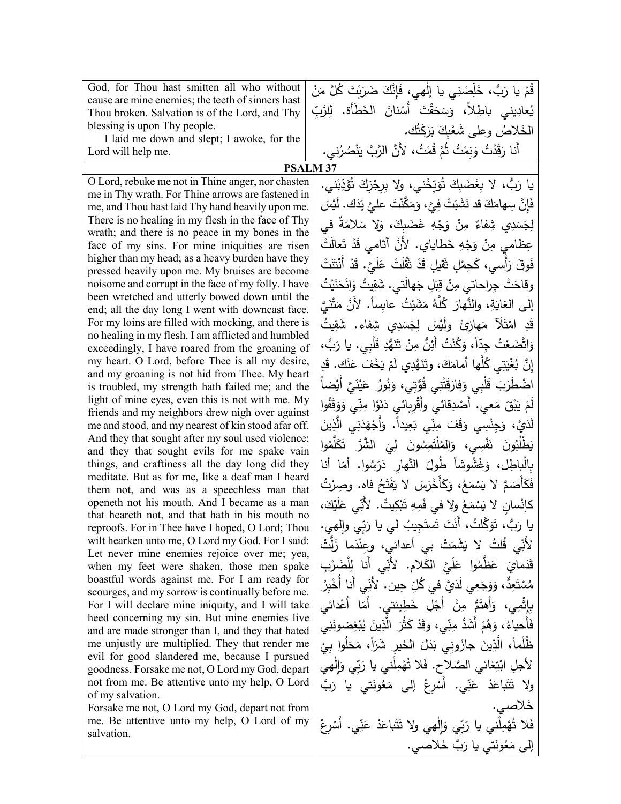| God, for Thou hast smitten all who without                                                               | قُمْ يا رَبُّ، خَلِّصْنِي يا إِلٰهِي، فَإِنَّكَ ضَرَبْتَ كُلَّ مَنْ     |
|----------------------------------------------------------------------------------------------------------|-------------------------------------------------------------------------|
| cause are mine enemies; the teeth of sinners hast                                                        | يُعادِيني باطِلاً، وَسَحَقْتَ أَسْنانَ الخَطَأة. لِلرَّبِّ              |
| Thou broken. Salvation is of the Lord, and Thy<br>blessing is upon Thy people.                           |                                                                         |
| I laid me down and slept; I awoke, for the                                                               | الخَلاصُ وعلى شَعْبِكَ بَرَكَتُك.                                       |
| Lord will help me.                                                                                       | أَنا رَقَدْتُ وَنِمْتُ ثُمَّ قُمْتُ، لأَنَّ الرَّبَّ يَنْصُرُني.        |
|                                                                                                          | <b>PSALM 37</b>                                                         |
| O Lord, rebuke me not in Thine anger, nor chasten                                                        | يا رَبُّ، لا بِغَضَبِكَ تُوَبِّخْني، ولا بِرِجْزِكَ تُؤَدِّبْني.        |
| me in Thy wrath. For Thine arrows are fastened in<br>me, and Thou hast laid Thy hand heavily upon me.    | فَإِنَّ سِهامَكَ قد نَشَبَتْ فِيَّ، وَمَكَّنْتَ عليَّ يَدَك. لَيْسَ     |
| There is no healing in my flesh in the face of Thy                                                       |                                                                         |
| wrath; and there is no peace in my bones in the                                                          | لِجَسَدِي شِفاءٌ مِنْ وَجْهِ غَضَبِكَ، وَلا سَلامَةٌ في                 |
| face of my sins. For mine iniquities are risen                                                           | عِظامي مِنْ وَجْهِ خَطايايِ. لأَنَّ آثامي قَدْ تَعالَتْ                 |
| higher than my head; as a heavy burden have they<br>pressed heavily upon me. My bruises are become       | فَوقَ رَأْسي، كَحِمْلٍ ثَقيلٍ قَدْ ثَقُلَتْ عَلَيَّ. قَدْ أَنْتَنَتْ    |
| noisome and corrupt in the face of my folly. I have                                                      | وقاحَتْ جِراحاتي مِنْ قِبَلِ جَهالَتي. شَقِيتُ وَانْحَنَيْتُ            |
| been wretched and utterly bowed down until the<br>end; all the day long I went with downcast face.       | إلى الغايَةِ، والنَّهارَ كُلَّهُ مَشَيْتُ عابساً. لأَنَّ مَتْنَيَّ      |
| For my loins are filled with mocking, and there is                                                       | قَدِ امْتَلَأَ مَهازِئَ ولَيْسَ لِجَسَدِي شِفاء. شَقِيتُ                |
| no healing in my flesh. I am afflicted and humbled<br>exceedingly, I have roared from the groaning of    | وَاتَّضَعْتُ جِدّاً، وَكُنْتُ أَئِنُّ مِنْ تَنَهُّدِ قَلْبِي. يا رَبُّ، |
| my heart. O Lord, before Thee is all my desire,                                                          | إِنَّ بُغْيَتِي كُلُّها أَمامَكَ، وتَنَهُّدِي لَمْ يَخْفَ عَنْك. قَدِ   |
| and my groaning is not hid from Thee. My heart<br>is troubled, my strength hath failed me; and the       | اضْطَرَبَ قَلْبِي وَفارَقَتْنِي قُوَّتِي، وَنُورُ  عَيْنَيَّ  أَيْضاً   |
| light of mine eyes, even this is not with me. My                                                         | لَمْ يَبْقَ مَعي. أَصْدِقائي وأَقْرِبائي دَنَوْا مِنِّي وَوَقَفُوا      |
| friends and my neighbors drew nigh over against                                                          |                                                                         |
| me and stood, and my nearest of kin stood afar off.<br>And they that sought after my soul used violence; | لَدَيَّ، وَجِنْسِي وَقَفَ مِنِّي بَعِيداً. وَأَجْهَدَنِي الَّذِينَ      |
| and they that sought evils for me spake vain                                                             | يَطْلُبُونَ نَفْسِى، وَالمُلْتَمِسُونَ لِيَ الشَّرَّ تَكَلَّمُوا        |
| things, and craftiness all the day long did they                                                         | بِالْبِاطِل، وَغُشُوشاً طُولَ النَّهارِ دَرَسُوا. أمّا أنا              |
| meditate. But as for me, like a deaf man I heard<br>them not, and was as a speechless man that           | فَكَأْصَمَّ لا يَسْمَعُ، وَكَأَخْرَسَ لا يَفْتَحُ فاه. وصِرْتُ          |
| openeth not his mouth. And I became as a man                                                             | كَإِنْسانٍ لا يَسْمَعُ ولا في فَمِهِ تَبْكِيتٌ. لأَنِّي عَلَيْكَ،       |
| that heareth not, and that hath in his mouth no<br>reproofs. For in Thee have I hoped, O Lord; Thou      | يا رَبُ، تَوَكَّلتُ، أَنْتَ تَستَجِيبُ لي يا رَبّي وإلهي.               |
| wilt hearken unto me, O Lord my God. For I said:<br>Let never mine enemies rejoice over me; yea,         | لأُنِّي قُلتُ لا يَشْمَتْ بي أعدائي، وعِنْدَما زَلِّتْ                  |
| when my feet were shaken, those men spake                                                                | قَدَمايَ عَظَّمُوا عَلَيَّ الكَلام. لأَنِّي أنا لِلْضَرْبِ              |
| boastful words against me. For I am ready for<br>scourges, and my sorrow is continually before me.       | مُسْتَعِدٌّ ، وَوَجَعِي لَدَيَّ في كُلِّ حِين. لأَنِّي أَنا أُخْبِرُ    |
| For I will declare mine iniquity, and I will take                                                        | بِإِثْمِي، وَأَهتَمُ مِنْ أَجْلِ خَطِيئتي. أَمّا أَعْدائى               |
| heed concerning my sin. But mine enemies live<br>and are made stronger than I, and they that hated       | فَأَحياءُ، وَهُمْ أَشَدٌ مِنِّي، وقَدْ كَثُرَ  الَّذِينَ يُبْغِضونَنِي  |
| me unjustly are multiplied. They that render me                                                          | ظُلْماً، الَّذِينَ جازَوِنِي بَدَلَ الْخَيرِ شَرّاً، مَحَلُوا بِيُ      |
| evil for good slandered me, because I pursued<br>goodness. Forsake me not, O Lord my God, depart         | لأجلِ ابْتِغائي الصَّلاحِ. فَلا تُهْمِلْني يا رَبِّي وَالْهِي           |
| not from me. Be attentive unto my help, O Lord                                                           | ولا تَتَباعَدْ عَنِّي. أَسْرِعْ إِلَى مَعُونَتي                         |
| of my salvation.<br>Forsake me not, O Lord my God, depart not from                                       | خَلاصى.                                                                 |
| me. Be attentive unto my help, O Lord of my                                                              | فَلا تُهْمِلني يا رَبِّي وَإِلْهِي ولا تَتَباعَدْ عَنِّي.               |
| salvation.                                                                                               | إلى مَعُونَتي يا رَبَّ خَلاصي.                                          |
|                                                                                                          |                                                                         |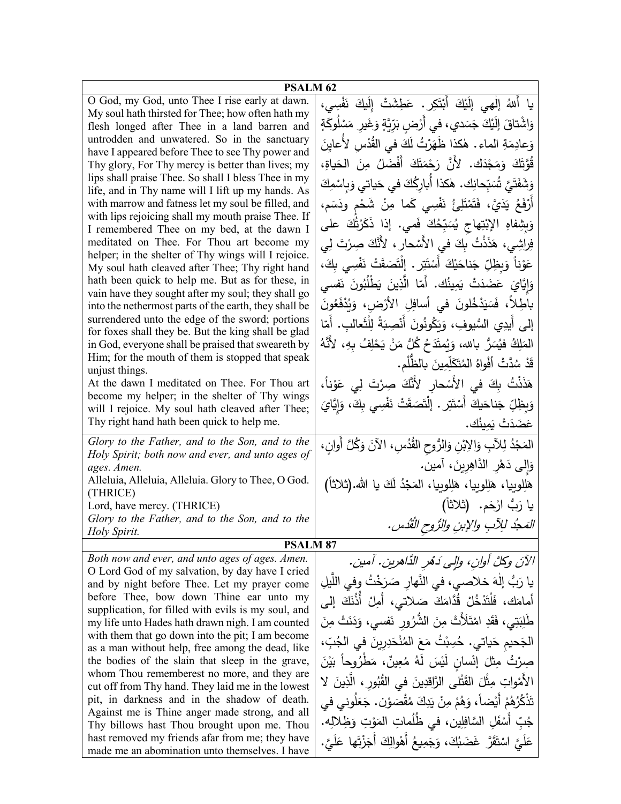| <b>PSALM 62</b>                                                                                         |                                                                         |
|---------------------------------------------------------------------------------------------------------|-------------------------------------------------------------------------|
| O God, my God, unto Thee I rise early at dawn.                                                          | يا أَللهُ إلْهِي إِلَيْكَ أَبْتَكِرٍ . عَطِشَتْ إِلَيكَ نَفْسِي،        |
| My soul hath thirsted for Thee; how often hath my                                                       | وَاشْتاقَ إِلَيْكَ جَسَديٍ، في أَرْضٍ بَرّيَّةٍ وَغَيرٍ مَسْلُوكَةٍ     |
| flesh longed after Thee in a land barren and<br>untrodden and unwatered. So in the sanctuary            |                                                                         |
| have I appeared before Thee to see Thy power and                                                        | وَعادِمَةِ الماء . هٰكذا ظَهَرْتُ لَكَ فـى الفُّدْسِ لأَعايِنَ          |
| Thy glory, For Thy mercy is better than lives; my                                                       | قُوَّتَكَ وَمَجْدَكَ. لأَنَّ رَحْمَتَكَ أَفْضَلُ مِنَ الْحَياةِ،        |
| lips shall praise Thee. So shall I bless Thee in my                                                     | وَشَفَتَىَّ شُبَحانِك. هٰكذا أَباركُكَ في حَياتي وَبِاسْمِكَ            |
| life, and in Thy name will I lift up my hands. As                                                       |                                                                         |
| with marrow and fatness let my soul be filled, and                                                      | أَرْفَعُ يَدَيَّ، فَتَمْتَلِئُ نَفْسِي كَما مِنْ شَحْمٍ ودَسَمٍ،        |
| with lips rejoicing shall my mouth praise Thee. If<br>I remembered Thee on my bed, at the dawn I        | وَبِشِفاهِ الإِبْتِهاج يُسَبِّحُكَ فَمي. إذا ذَكَرْتُكَ على             |
| meditated on Thee. For Thou art become my                                                               | فِراشِي، هَذَنْتُ بِكَ في الأَسْحارِ ، لأَنَّكَ صِرْتَ لِي              |
| helper; in the shelter of Thy wings will I rejoice.                                                     | عَوْناً وَبِظِلِّ جَناحَيْكَ أَسْتَتِرٍ . إِلْتَصَقَتْ نَفْسِى بِكَ،    |
| My soul hath cleaved after Thee; Thy right hand<br>hath been quick to help me. But as for these, in     |                                                                         |
| vain have they sought after my soul; they shall go                                                      | وَإِيَّايَ عَضَدَتْ يَمِينُك. أَمّا الَّذِينَ يَطْلُبُونَ نَفسى         |
| into the nethermost parts of the earth, they shall be                                                   | باطِلاً، فَسَيَدْخُلُونَ في أسافِلِ الأَرْضِ، وَيُدْفَعُونَ             |
| surrendered unto the edge of the sword; portions<br>for foxes shall they be. But the king shall be glad | إلى أَيدِي السُّيوفِ، وَيَكُونُونَ أَنْصِبَةً لِلْثَعالَبِ. أَمّا       |
| in God, everyone shall be praised that sweareth by                                                      | المَلِكُ فيُسَرُّ بالله، وَبُمتَدَحُ كُلُّ مَنْ يَحْلِفُ بِهِ، لأَنَّهُ |
| Him; for the mouth of them is stopped that speak<br>unjust things.                                      | قَدْ سُدَّتْ أَفْواهُ الْمُتَكَلِّمِينَ بِالظَّلْمِ.                    |
| At the dawn I meditated on Thee. For Thou art                                                           | هَذَذْتُ بِكَ في الأَسْحارِ لأَنَّكَ صِرْتَ لِى عَوْناً،                |
| become my helper; in the shelter of Thy wings<br>will I rejoice. My soul hath cleaved after Thee;       | وَبِظِلِّ جَناحَيكَ أَسْتَتِرٍ . إِلْتَصَقَتْ نَفْسِي بِكَ، وَإِيَّايَ  |
| Thy right hand hath been quick to help me.                                                              | عَضَدَتْ يَمِينُك.                                                      |
| Glory to the Father, and to the Son, and to the                                                         |                                                                         |
| Holy Spirit; both now and ever, and unto ages of                                                        | المَجْدُ لِلآبِ وَالاِبْنِ وَالرُّوحِ القُدُسِ، الآنَ وَكُلَّ أَوَانٍ،  |
| ages. Amen.                                                                                             | وَإِلَى دَهْرِ الدَّاهِرِينَ، آمين.                                     |
| Alleluia, Alleluia, Alleluia. Glory to Thee, O God.<br>(THRICE)                                         | هَلِلوبِيا، هَلِلوبِيا، هَلِلوبِيا، المَجْدُ لَكَ يا الله.(ثلاثاً)      |
| Lord, have mercy. (THRICE)                                                                              | يا رَبُّ ارْحَم. (ثلاثاً)                                               |
| Glory to the Father, and to the Son, and to the                                                         | المَجْد للِآبِ والإبنِ والرُّوحِ القُدْسِ.                              |
| Holy Spirit.<br><b>PSALM 87</b>                                                                         |                                                                         |
| Both now and ever, and unto ages of ages. Amen.                                                         |                                                                         |
| O Lord God of my salvation, by day have I cried                                                         | الآنَ وكلَّ أوانِ، والِي دَمُرِ الذَّاهرينِ. آمين.                      |
| and by night before Thee. Let my prayer come                                                            | يا رَبُّ إلٰهَ خلاصي، في النَّهارِ صَرَخْتُ وفي اللَّيلِ                |
| before Thee, bow down Thine ear unto my                                                                 | أمامَكَ، فَلْتَدْخُلْ قُدَّامَكَ صَلاتي، أَمِلْ أَذُنَكَ إلى            |
| supplication, for filled with evils is my soul, and<br>my life unto Hades hath drawn nigh. I am counted | طَٰلِبَتِي، فَقَدِ امْتَلَأَتْ مِنَ الشُّرُورِ نَفسى، وَذَنَتْ مِنَ     |
| with them that go down into the pit; I am become                                                        | الجَحيم حَياتي. حُسِبْتُ مَعَ المُنْحَدِرِينَ في الجُبِّ،               |
| as a man without help, free among the dead, like<br>the bodies of the slain that sleep in the grave,    | صِرْتُ مِثْلَ إِنْسانٍ لَيْسَ لَهُ مُعِينٌ، مَطْرُوحاً بَيْنَ           |
| whom Thou rememberest no more, and they are                                                             |                                                                         |
| cut off from Thy hand. They laid me in the lowest                                                       | الأَمْواتِ مِثْلَ القَتْلى الرَّاقدِينَ في القُبُورِ ، الَّذِينَ لا     |
| pit, in darkness and in the shadow of death.<br>Against me is Thine anger made strong, and all          | تَذْكُرُهُمْ أَيْضاً، وَهُمْ مِنْ يَدِكَ مُقْصَوْن. جَعَلُوني في        |
| Thy billows hast Thou brought upon me. Thou                                                             | جُبِّ أَسْفَلِ السَّافِلِين، في ظُلُماتِ المَوْتِ وَظِلالِه.            |
| hast removed my friends afar from me; they have<br>made me an abomination unto themselves. I have       | عَلَيَّ اسْتَقَرَّ  غَضَبُكَ، وَجَمِيعُ أَهْوالِكَ أَجَزْتَها عَلَيَّ.  |
|                                                                                                         |                                                                         |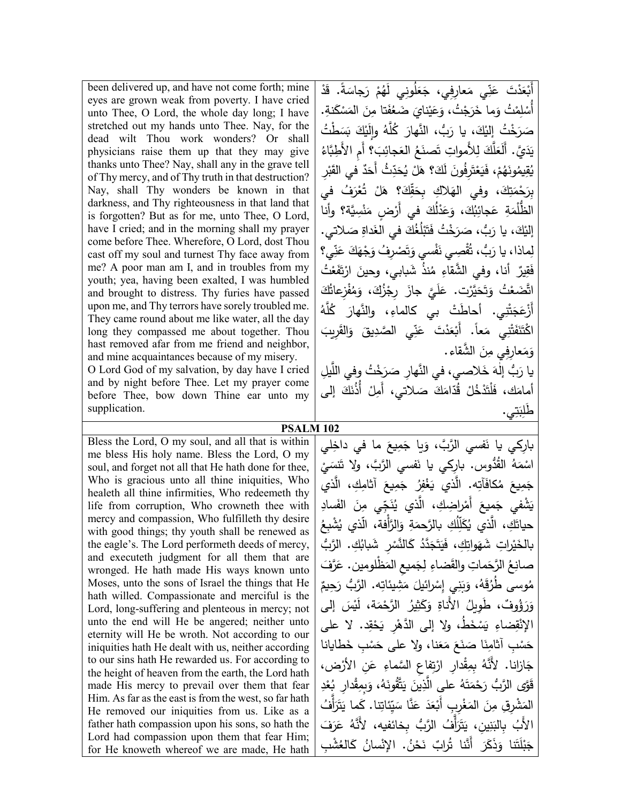| been delivered up, and have not come forth; mine                                                         | أَبْعَدْتَ عَنِّي مَعارِفِي، جَعَلُونِي لَهُمْ رَجاسَةً. قَدْ                                                                          |
|----------------------------------------------------------------------------------------------------------|----------------------------------------------------------------------------------------------------------------------------------------|
| eyes are grown weak from poverty. I have cried                                                           |                                                                                                                                        |
| unto Thee, O Lord, the whole day long; I have                                                            | أَسْلِمْتُ وَما خَرَجْتُ، وَعَيْنايَ ضَعُفَتا مِنَ المَسْكَنةِ.                                                                        |
| stretched out my hands unto Thee. Nay, for the<br>dead wilt Thou work wonders? Or shall                  | صَرَخْتُ إليْكَ، يا رَبُّ، النَّهارَ كُلَّهُ وإلَيْكَ بَسَطْتُ                                                                         |
| physicians raise them up that they may give                                                              | يَدَيَّ . أَلَعَلَّكَ لِلأَمواتِ تَصنَعُ العَجائِبَ؟ أم الأَطِبَّاءُ                                                                   |
| thanks unto Thee? Nay, shall any in the grave tell                                                       | يُقِيمُونَهُمْ، فَيَعْتَرِفُونَ لَكَ؟ هَلْ يُحَدِّثُ أَحَدٌ فـى القَبْرِ                                                               |
| of Thy mercy, and of Thy truth in that destruction?                                                      |                                                                                                                                        |
| Nay, shall Thy wonders be known in that                                                                  | برَحْمَتِكَ، وفي الهَلاكِ بحَقِّكَ؟ هَلْ تُعْرَفُ في                                                                                   |
| darkness, and Thy righteousness in that land that<br>is forgotten? But as for me, unto Thee, O Lord,     | الظُّلْمَةِ عَجائِبُكَ، وَعَذْلُكَ في أَرْضٍ مَنْسِيَّةٌ؟ وأنا                                                                         |
| have I cried; and in the morning shall my prayer                                                         | إلنْكَ، يا رَبُّ، صَرَخْتُ فَتَبْلَغُكَ في الغَداةِ صَلاتي.                                                                            |
| come before Thee. Wherefore, O Lord, dost Thou<br>cast off my soul and turnest Thy face away from        | لِماذا، يا رَبُّ، ثُقْصِي نَفْسى وَتَصْرِفُ وَجْهَكَ عَنِّي؟                                                                           |
| me? A poor man am I, and in troubles from my                                                             | فَقِيرٌ أنا، وفي الشَّقاءِ مُنذُ شَبابي، وحينَ ارْتَفَعْتُ                                                                             |
| youth; yea, having been exalted, I was humbled                                                           |                                                                                                                                        |
| and brought to distress. Thy furies have passed<br>upon me, and Thy terrors have sorely troubled me.     | اتَّضَعْتُ وَتَحَيَّرْت. عَلَيَّ جازَ رِجْزُكَ، وَمُفْزِعاتُكَ                                                                         |
| They came round about me like water, all the day                                                         | أَزْعَجَتْنِي. أَحاطَتْ بي كالماءِ، والنَّهارَ كُلَّهُ                                                                                 |
| long they compassed me about together. Thou                                                              | اكْتَنَفَتْنِي مَعاً. أَبْعَدْتَ عَنِّي الصَّدِيقَ وَالقَرِيبَ                                                                         |
| hast removed afar from me friend and neighbor,<br>and mine acquaintances because of my misery.           | وَمَعارِفِي مِنَ الشَّقاءِ.                                                                                                            |
| O Lord God of my salvation, by day have I cried                                                          | يا رَبُّ إلٰهَ خَلاصي، في النَّهارِ صَرَخْتُ وفي اللَّيلِ                                                                              |
| and by night before Thee. Let my prayer come                                                             | أمامَك، فَلْتَذْخُلْ قُدّامَكَ صَلاتي، أَمِلْ أَذُنَكَ إلى                                                                             |
| before Thee, bow down Thine ear unto my                                                                  |                                                                                                                                        |
| supplication.                                                                                            | طلِبَتِي.                                                                                                                              |
|                                                                                                          |                                                                                                                                        |
| PSALM <sub>102</sub>                                                                                     |                                                                                                                                        |
| Bless the Lord, O my soul, and all that is within                                                        | باركي يا نَفسى الرَّبَّ، وَيا جَمِيعَ ما في داخِلي                                                                                     |
| me bless His holy name. Bless the Lord, O my                                                             |                                                                                                                                        |
| soul, and forget not all that He hath done for thee,                                                     | اسْمَهُ الْقُدُّوس. بارِكِي يا نَفسي الرَّبَّ، ولا تَنسَيْ                                                                             |
| Who is gracious unto all thine iniquities, Who                                                           | جَمِيعَ مُكافَآتِه. الَّذي يَغْفِرُ جَمِيعَ آثامِكِ، الَّذي                                                                            |
| healeth all thine infirmities, Who redeemeth thy<br>life from corruption, Who crowneth thee with         | يَشْفى جَميعَ أَمْرِاضِكِ، الَّذي يُنَجِّى مِنَ الفَسادِ                                                                               |
| mercy and compassion, Who fulfilleth thy desire                                                          |                                                                                                                                        |
| with good things; thy youth shall be renewed as                                                          | حياتَكِ، الَّذي يُكَلِّلُكِ بالرَّحمَةِ وَالرَّأفة، الَّذي يُشْبِعُ                                                                    |
| the eagle's. The Lord performeth deeds of mercy,                                                         | بالخَيْراتِ شَهَواتِكِ، فَيَتَجَدَّدُ كَالنَّسْرِ شَبابُكِ. الرَّبُّ                                                                   |
| and executeth judgment for all them that are                                                             | صانِعُ الرَّحَماتِ والقَضاءِ لِجَميعِ المَظْلُومينِ. عَرَّفَ                                                                           |
| wronged. He hath made His ways known unto<br>Moses, unto the sons of Israel the things that He           |                                                                                                                                        |
| hath willed. Compassionate and merciful is the                                                           | مُوسى طُرُقَهُ، وَبَنِي إِسْرائيلَ مَشِيئاتِه. الرَّبُّ رَحِيمٌ                                                                        |
| Lord, long-suffering and plenteous in mercy; not                                                         | وَرَؤُوفٌ، طُوبِلُ الأَناةِ وَكَثِيرُ الرَّحْمَة، لَيْسَ إِلَى                                                                         |
| unto the end will He be angered; neither unto                                                            | الإِنْقِضاءِ يَسْخَطُ، ولا إلى الدَّهْرِ يَحْقِد. لا على                                                                               |
| eternity will He be wroth. Not according to our                                                          |                                                                                                                                        |
| iniquities hath He dealt with us, neither according<br>to our sins hath He rewarded us. For according to | حَسْبِ أَثَامِنَا صَنَعَ مَعَنا، ولا على حَسْبٍ خَطايانا                                                                               |
| the height of heaven from the earth, the Lord hath                                                       | جَازانا. لأَنَّهُ بِمِقْدارِ ارْتِفاعِ السَّماءِ عَنِ الأَرْضِ،                                                                        |
| made His mercy to prevail over them that fear                                                            | قَوَّى الرَّبُّ رَحْمَتَهُ على الَّذِينَ يَتَّقُونَهُ، وَبِمِقْدارِ بُعْدِ                                                             |
| Him. As far as the east is from the west, so far hath                                                    | الْمَشْرِقِ مِنَ الْمَغْرِبِ أَبْعَدَ عَنَّا سَيِّئَاتِنا. كَما يَتَرَأْفُ                                                             |
| He removed our iniquities from us. Like as a                                                             |                                                                                                                                        |
| father hath compassion upon his sons, so hath the<br>Lord had compassion upon them that fear Him;        | الأَبُ بِالْبَنِينِ، يَتَرَأَفُ الرَّبُّ بِخائفيه، لأَنَّهُ عَرَفَ<br>جَبْلَتَنا وَذَكَرَ أَنَّنا تُرابٌ نَحْنُ. الإِنْسانُ كَالغُشْبِ |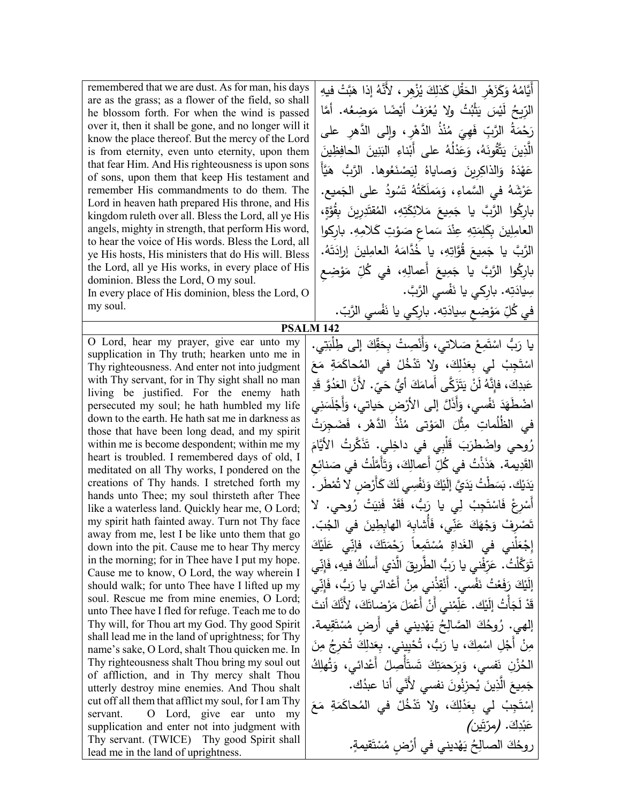remembered that we are dust. As for man, his days are as the grass; as a flower of the field, so shall he blossom forth. For when the wind is passed over it, then it shall be gone, and no longer will it know the place thereof. But the mercy of the Lord is from eternity, even unto eternity, upon them that fear Him. And His righteousness is upon sons of sons, upon them that keep His testament and remember His commandments to do them. The Lord in heaven hath prepared His throne, and His kingdom ruleth over all. Bless the Lord, all ye His angels, mighty in strength, that perform His word, to hear the voice of His words. Bless the Lord, all ye His hosts, His ministers that do His will. Bless the Lord, all ye His works, in every place of His dominion. Bless the Lord, O my soul. In every place of His dominion, bless the Lord, O

my soul.

O Lord, hear my prayer, give ear unto my supplication in Thy truth; hearken unto me in Thy righteousness. And enter not into judgment with Thy servant, for in Thy sight shall no man living be justified. For the enemy hath persecuted my soul; he hath humbled my life down to the earth. He hath sat me in darkness as those that have been long dead, and my spirit within me is become despondent; within me my heart is troubled. I remembered days of old, I meditated on all Thy works, I pondered on the creations of Thy hands. I stretched forth my hands unto Thee; my soul thirsteth after Thee like a waterless land. Quickly hear me, O Lord; my spirit hath fainted away. Turn not Thy face away from me, lest I be like unto them that go down into the pit. Cause me to hear Thy mercy in the morning; for in Thee have I put my hope. Cause me to know, O Lord, the way wherein I should walk; for unto Thee have I lifted up my soul. Rescue me from mine enemies, O Lord; unto Thee have I fled for refuge. Teach me to do Thy will, for Thou art my God. Thy good Spirit shall lead me in the land of uprightness; for Thy name's sake, O Lord, shalt Thou quicken me. In Thy righteousness shalt Thou bring my soul out of affliction, and in Thy mercy shalt Thou utterly destroy mine enemies. And Thou shalt cut off all them that afflict my soul, for I am Thy servant. O Lord, give ear unto my supplication and enter not into judgment with Thy servant. (TWICE) Thy good Spirit shall lead me in the land of uprightness.

أَيَّامُهُ وَكَزَهْرِ الْحَقْلِ كَذَلِكَ يُزْهِرِ ، لأَنَّهُ إذا هَبَّتْ فيهِ<br>. ُ<br>ف الرِّيحُ لَيْسَ يَثْبُتُ ولا يُعْرَفُ أَيْضًا مَوضِعُه. أَمَّا<br>. رَحْمَةُ الرَّبِّ فَهِيَ مُنْذُ الدَّهْرِ ، وإِلى الدَّهْرِ على<br>نَّذ كَمَّةُ كُمُّ مَنْ نُمُّكُمْ الصَّفَّةُ فِي الصَّائِفَ **ٔ** الَّذِينَ يَتَّقُونَهُ، وَعَدْلُهُ على أَبْناءِ البَنِينَ الحافِظِينَ عَهْدَهُ وَالذاكِرِينَ وَصاياهُ لِيَصْنَعُوها. الرَّبُّ هَيَّأُ<br>مَعْدَهُ وَالذاكِرِينَ وَصاياهُ لِيَصْنَعُوها. الرَّبُّ هَيَّأُ عَرْشَهُ في السَّماءِ، وَمَملَكَتُهُ تَسُودُ على الجَميع.<br>مثل بارِكُوا الرَّبَّ يا جَمِيعَ مَلائِكَتِهِ، المُقتَدِرِينَ بِقُوَّةٍ،<br>. العامِلِينَ بِكَلِمَتِهِ عِنْدَ سَماعِ صَوْتِ كَلامِهِ. بارِكوا<br>سیمانی <u>ٔ</u> الرَّبَّ يا جَمِيعَ قُوَّاتِهِ، يا خُدَّامَهُ العامِلينَ إرادَتَهُ.<br>. بارِكُوا الرَّبَّ يا جَمِيعَ أَعمالِهِ، في كُلِّ مَوْضِعِ<br>-سِيادَتِه. بارِكي يا نَفْسي الرَّبَّ. في كُلِّ مَوْضِعِ سِيادَتِه. بارِكي يا نَفْسي الرَّبّ.<br>-

**PSALM 142**

ْ يا رَبُّ اسْتَمِعْ صَلاتي، وَأَنْصِتْ بِحَقِّكَ إلى طِلْبَتِي.<br>. اسْتَجِبْ لي بِعَدْلِكَ، ولا تَدْخُلْ في المُحاكَمَةِ مَعَ<br>سَيَسْتَجِبُ اللهُ عَلَيْهِ مَنْ الْمُحاكَمَةِ عَبدِكَ، فإِنَّهُ لَنْ يَتَزَكَّى أَمامَكَ أَيُّ حَيِّ. لأَنَّ العَدُوَّ قَدِ<br>مشرف كَمَسَعَ اللَّهُ عَنَهُ اللَّهُ اللَّهُ عَبِّي الْأَنَّ الْعَدُوَّ قَدِ اضْطَهَدَ نَفْسي، وَأَذَلَّ إلى الأَرْضِ حَياتي، وَأَجْلَسَنِي ֺ<u>֓</u> في الظُلُماتِ مِثْلَ المَوْتى مُنْذُ الدَّهْرِ، فَضَجِرَتْ<br>. رُوحي واضْطْرَبَ قَلْبِي في داخِلي. تَذَكَّرتُ الأَيَّامَ<br>حَمَّا النَّاسُ ِ ِع َ نائ َ َّأَمْل ُت في ص ت َ ،َ و ِك ِ أَعمال ّ ُل َ َذْذ ُت في � ِ�مة. ه َد الق يَدَيْك. بَسَطْتُ يَدَيَّ إِلَيْكَ وَنَفْسِي لَكَ كَأَرْضٍ لا تُمْطَر .<br>أ <u>ّ</u> َبَاءِ<br>پ أَسْرِعْ فَاسْتَجِبْ لِي يا رَبُّ، فَقَدْ فَنِيَتْ رُوحي. لا تَصْرِفْ وَجْهَكَ عَنِّي، فَأُشابِهَ الهابِطِينَ في الجُبّ.<br>-إِجْعَلْني في الغَداةِ مُسْتَمِعاً رَجْمَتَكَ، فإنِّي عَلَيْكَ<br>-ໍ تَوَكَّلْتُ. عَرِّفْني يا رَبُّ الطَّربِقَ الَّذي أَسلُكُ فيهِ، فَإِنِّي<br>-َ إِنَيْكَ رَفَعْتُ نَفْسي. أَنْقِذْني مِنْ أَعْدائي يا رَبُّ، فَإِنِّي<br>يَدِيَ فَيْ قَدْ لَجَأْتُ إِلَيْك. عَلِّمْني أَنْ أَعْمَلَ مَرْضِاتَكَ، لأَنَّكَ أنتَ إلهي. رُوحُكَ الصَّالِحُ يَهْدِيني في أَرضٍ مُسْتَقِيمة.<br>. مِنْ أَجْلِ اسْمِكَ، يا رَبُّ، تُحْيِينِي. بِعَدلِكَ تُخرِجُ مِنَ<br>. ْ ֺ<u>֘</u> َ ِك ت َ َحم ِر � َ َفسي، و ُ ْزِن ن ُ الح ِك ُهل ت َ ْدائي، و ُ أَع ْأ ِصل َ َست ت جَمِيعَ الَّذِينَ يُحزِنُونَ نفسي لأَنَّي أنا عبدُك. **ّ** إسْتَجِبْ لي بِعَدْلِكَ، ولا تَدْخُلْ في المُحاكَمَةِ مَعَ عَبْدِكَ. *(*مرّتَين*)* َ ُك ُ روح ْ الصال دیني ِح ْ <sup>ی</sup> في ٍض َه ٍ أر َق�مة ْ ت م . ُس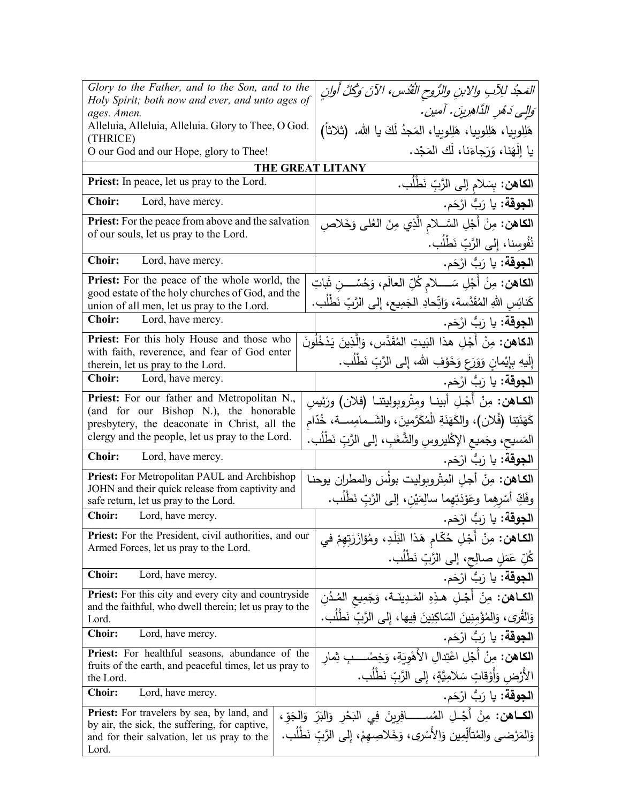| Glory to the Father, and to the Son, and to the                                                | المَجُد للِآبِ ولِابنِ والرَّوحِ القُدُسِ، الآنَ وَكُلَّ أُولنِ                         |
|------------------------------------------------------------------------------------------------|-----------------------------------------------------------------------------------------|
| Holy Spirit; both now and ever, and unto ages of<br>ages. Amen.                                | وَالِّي دَهْرِ الذَّاهِرِينَ. آمين.                                                     |
| Alleluia, Alleluia, Alleluia. Glory to Thee, O God.                                            | هَلِلوبِيا، هَلِلوبِيا، هَلِلوبِيا، المَجدُ لَكَ يا الله. (ثلاثاً)                      |
| (THRICE)<br>O our God and our Hope, glory to Thee!                                             | يا إِلَهَنا، وَرَجاءَنا، لَكَ المَجْد.                                                  |
| THE GREAT LITANY                                                                               |                                                                                         |
| Priest: In peace, let us pray to the Lord.                                                     | ا <b>لكاهن:</b> بِسَلام إلى الرَّبِّ نَطْلَب.                                           |
| <b>Choir:</b><br>Lord, have mercy.                                                             | ا <b>لجوقة:</b> يا رَبُّ ارْحَم.                                                        |
| <b>Priest:</b> For the peace from above and the salvation                                      | ا <b>لكاهن:</b> مِنْ أَجْلِ السَّــلام الَّذِي مِنَ العُلى وَخَلاصِ                     |
| of our souls, let us pray to the Lord.                                                         | نُفُوسِنا، إِلى الرَّبِّ نَطْلُب.                                                       |
| <b>Choir:</b><br>Lord, have mercy.                                                             | ا <b>لجوقة:</b> يا رَبُّ ارْحَم.                                                        |
| <b>Priest:</b> For the peace of the whole world, the                                           | ا <b>لكاهن:</b> مِنْ أَجْلِ سَـــــلام كُلِّ العالَم، وَحُسْـــــنِ شَاتِ               |
| good estate of the holy churches of God, and the<br>union of all men, let us pray to the Lord. | كَنائِسِ اللهِ المُقَدَّسة، وَاتِّحادِ الجَمِيعِ، إِلى الرَّبِّ نَطْلَب.                |
| <b>Choir:</b> Lord, have mercy.                                                                | ا <b>لجوقة:</b> يا رَبُّ ارْحَم.                                                        |
| <b>Priest:</b> For this holy House and those who                                               | ا <b>لـكاهن:</b> مِنْ أَجْلِ هذا البَيتِ المُقَدَّس، وَالَّذِينَ يَدْخُلُونَ            |
| with faith, reverence, and fear of God enter<br>therein, let us pray to the Lord.              | إِلَيهِ بِإِيْمانِ وَوَرَعٍ وَخَوْفِ الله، إِلى الرَّبِّ نَطْلُب.                       |
| <b>Choir:</b><br>Lord, have mercy.                                                             | ا <b>لجوقة:</b> يا رَبُّ ارْحَم.                                                        |
| Priest: For our father and Metropolitan N.,                                                    | ا <b>لكـاهَنْ:</b> مِنْ أَجْلِ أبينـا ومِتْروبوليتنـا (فلان) ورَئِيسِ                   |
| (and for our Bishop N.), the honorable<br>presbytery, the deaconate in Christ, all the         | كَهَنَتِنا (فُلان)، والكَهَنَةِ الْمُكَرَّمينَ، والشَــمامِســة، خُدّام                 |
| clergy and the people, let us pray to the Lord.                                                | المَسيح، وجَميع الإكْليروسِ والشَّعْبِ، إلى الرَّبِّ نَطْلَب.                           |
| <b>Choir:</b><br>Lord, have mercy.                                                             | ا <b>لجوقة:</b> يا رَبُّ ارْحَم.                                                        |
| Priest: For Metropolitan PAUL and Archbishop                                                   | ا <b>لكاهن:</b> مِنْ أجلِ المِثْروبوليت بولُسَ والمطران يوحنـا                          |
| JOHN and their quick release from captivity and<br>safe return, let us pray to the Lord.       | وفَكِّ أَسْرِهِما وعَوْدَتِهِما سالِمَيْنِ، إلى الرَّبِّ نَطْلَب.                       |
| Choir: Lord, have mercy.                                                                       | ا <b>لجوقة:</b> يا رَبُّ ارْحَم.                                                        |
| Priest: For the President, civil authorities, and our                                          | ا <b>لكـاهن:</b> مِنْ أَجْلِ حُكّام هَذا البَلَدِ، ومُؤازَرَتِهِمْ في                   |
| Armed Forces, let us pray to the Lord.                                                         | كُلِّ عَمَلٍ صالِحٍ، إلى الرَّبِّ نَطْلُبٍ.                                             |
| <b>Choir:</b><br>Lord, have mercy.                                                             | ا <b>لجوقة:</b> يا رَبُّ ارْحَم.                                                        |
| <b>Priest:</b> For this city and every city and countryside                                    | ا <b>لكــاهن:</b> مِنْ أَجْـلِ هـذِهِ المَـدِينَــة، وَجَمِيعِ المُـدُنِ                |
| and the faithful, who dwell therein; let us pray to the<br>Lord.                               | وَالقُرى، وَالمُؤْمِنِينَ السّاكِنِينَ فِيها، إِلى الرَّبِّ نَطلب.                      |
| <b>Choir:</b><br>Lord, have mercy.                                                             | ا <b>لجوقة:</b> يا رَبُّ ارْحَم.                                                        |
| <b>Priest:</b> For healthful seasons, abundance of the                                         | ا <b>لكاهن:</b> مِنْ أَجْلِ اعْتِدالِ الأَهْوِيَةِ، وَخِصْـــــبِ ثِمارِ                |
| fruits of the earth, and peaceful times, let us pray to<br>the Lord.                           | الأَرْضِ وَأَوْقَاتٍ سَلامِيَّةٍ، إِلَى الرَّبِّ نَطْلُب.                               |
| <b>Choir:</b><br>Lord, have mercy.                                                             | ا <b>لجوقة:</b> يا رَبُّ ارْحَم.                                                        |
| <b>Priest:</b> For travelers by sea, by land, and                                              | ا <b>لكــاهن:</b> مِنْ أَجْـلِ المُســـــــافِرِينَ فِي النِّحْرِ وَالنَّرِّ وَالجَوِّ، |
| by air, the sick, the suffering, for captive,                                                  | وَالمَرْضـى والمُتألِّمِين وَالأَسْرِى، وَخَلاصِهمْ، إلى الرَّبّ نَطْلَب.               |
| and for their salvation, let us pray to the<br>Lord.                                           |                                                                                         |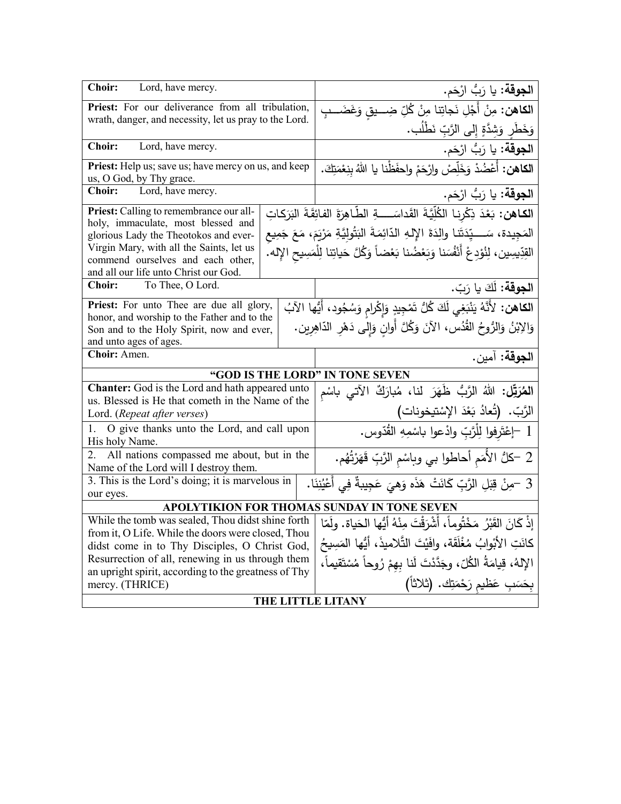| ا <b>لكاهن:</b> مِنْ أَجْلِ نَجاتِنا مِنْ كُلِّ ضِــــيق وَغَضَـــبِ<br>Priest: For our deliverance from all tribulation,<br>wrath, danger, and necessity, let us pray to the Lord.<br>وَخَطَرٍ وَشِدَّةٍ إِلى الرَّبِّ نَطْلُبٍ.<br>Lord, have mercy.<br><b>Choir:</b><br>ا <b>لجوقة:</b> يا رَبُّ ارْحَم.<br>الكاهن: أَعْضُدْ وَخَلِّصْ وارْحَمْ واحفَظْنا يا اللهُ بِنِعْمَتِكَ.<br>Priest: Help us; save us; have mercy on us, and keep<br>us, O God, by Thy grace.<br><b>Choir:</b><br>Lord, have mercy.<br>ا <b>لجوقة:</b> يا رَبُّ ارْحَم.<br><b>الكـاهن:</b> بَعْدَ ذِكْرِنـا الكُلِّيَّةَ القَداسَــــةِ الطَّـاهِرَةَ الفائِقَةَ البَرَكـاتِ<br><b>Priest:</b> Calling to remembrance our all-<br>holy, immaculate, most blessed and<br>المَجِيدة، سَـــــيِّدَتَنـا والِدَةَ الإِلـهِ الدّائِمَـةَ البَتُولِيَّةِ مَرْيَمَ، مَعَ جَمِيع<br>glorious Lady the Theotokos and ever-<br>Virgin Mary, with all the Saints, let us<br>القِدِّيسِين، لِنُوْدِعْ أَنْفُسَنا وَبَعْضُنا بَعْضاً وَكُلَّ حَياتِنا لِلْمَسِيحِ الإِله.<br>commend ourselves and each other,<br>and all our life unto Christ our God.<br><b>Choir:</b><br>To Thee, O Lord.<br>ا <b>لجوقة:</b> لَكَ يا رَبّ.<br>ا <b>لكاهن:</b> لأَنَّهُ يَنْبَغِي لَكَ كُلُّ تَمْجِيدٍ وَإِكْرامٍ وَسُجُودٍ، أَيُّها الآبُ<br>Priest: For unto Thee are due all glory,<br>honor, and worship to the Father and to the<br>وَالِإِبْنُ وَالرُّوحُ القُدُس، الآنَ وَكُلَّ أَوانٍ وَإِلَى دَهْرِ الدّاهِرِين.<br>Son and to the Holy Spirit, now and ever,<br>and unto ages of ages.<br>Choir: Amen.<br>ا <b>لجوقة:</b> آمين.<br>"GOD IS THE LORD" IN TONE SEVEN<br>المُعْرَقِّل: اللهُ الرَّبُّ ظَهَرَ لذا، مُبارَكٌ الآتي باسْم<br><b>Chanter:</b> God is the Lord and hath appeared unto<br>us. Blessed is He that cometh in the Name of the<br>الرَّبِّ. (تُعادُ بَعْدَ الإِسْتيخونات)<br>Lord. (Repeat after verses)<br>1 –إعْتَرِفوا لِلْرَّبِّ وادْعوا باسْمِهِ القُدَوِسِ.<br>O give thanks unto the Lord, and call upon<br>1.<br>His holy Name.<br>All nations compassed me about, but in the<br>2 –كلُّ الأُمَم أحاطوا بي وباسْم الرَّبِّ قَهَرْتُهُم.<br>2.<br>Name of the Lord will I destroy them.<br>3 –مِنْ قِبَلِ الرَّبِّ كَانَتْ هَذَه وَهِيَ عَجِيبةٌ فِي أَعْيُنِنَا.<br>3. This is the Lord's doing; it is marvelous in<br>our eyes.<br><b>APOLYTIKION FOR THOMAS SUNDAY IN TONE SEVEN</b><br>While the tomb was sealed, Thou didst shine forth<br>إِذْ كَانَ القَبْرُ مَخْتُوماً، أَشْرَقْتَ مِنْهُ أَيُّها الْحَياة. ولَمّا<br>from it, O Life. While the doors were closed, Thou<br>كانَتِ الأَبْوابُ مُغْلَقَة، وافَيْتَ التَّلاميذَ، أَيُّها المَسِيحُ<br>didst come in to Thy Disciples, O Christ God,<br>Resurrection of all, renewing in us through them<br>الإِلهُ، قِيامَةُ الكُلِّ، وجَدَّدْتَ لَنا بِهِمْ رُوحاً مُسْتَقِيماً،<br>an upright spirit, according to the greatness of Thy<br>بحَسَبِ عَظيمِ رَحْمَتِكَ. (ثلاثاً)<br>mercy. (THRICE)<br>THE LITTLE LITANY | <b>Choir:</b><br>Lord, have mercy. | ا <b>لجوقة:</b> يا رَبُّ ارْحَم. |
|-------------------------------------------------------------------------------------------------------------------------------------------------------------------------------------------------------------------------------------------------------------------------------------------------------------------------------------------------------------------------------------------------------------------------------------------------------------------------------------------------------------------------------------------------------------------------------------------------------------------------------------------------------------------------------------------------------------------------------------------------------------------------------------------------------------------------------------------------------------------------------------------------------------------------------------------------------------------------------------------------------------------------------------------------------------------------------------------------------------------------------------------------------------------------------------------------------------------------------------------------------------------------------------------------------------------------------------------------------------------------------------------------------------------------------------------------------------------------------------------------------------------------------------------------------------------------------------------------------------------------------------------------------------------------------------------------------------------------------------------------------------------------------------------------------------------------------------------------------------------------------------------------------------------------------------------------------------------------------------------------------------------------------------------------------------------------------------------------------------------------------------------------------------------------------------------------------------------------------------------------------------------------------------------------------------------------------------------------------------------------------------------------------------------------------------------------------------------------------------------------------------------------------------------------------------------------------------------------------------------------------------------------------------------------------------------------------------------------------------------------------------------------------------------------------------------------------------------------------------------------------------------------------------------------------------------------------------------|------------------------------------|----------------------------------|
|                                                                                                                                                                                                                                                                                                                                                                                                                                                                                                                                                                                                                                                                                                                                                                                                                                                                                                                                                                                                                                                                                                                                                                                                                                                                                                                                                                                                                                                                                                                                                                                                                                                                                                                                                                                                                                                                                                                                                                                                                                                                                                                                                                                                                                                                                                                                                                                                                                                                                                                                                                                                                                                                                                                                                                                                                                                                                                                                                                   |                                    |                                  |
|                                                                                                                                                                                                                                                                                                                                                                                                                                                                                                                                                                                                                                                                                                                                                                                                                                                                                                                                                                                                                                                                                                                                                                                                                                                                                                                                                                                                                                                                                                                                                                                                                                                                                                                                                                                                                                                                                                                                                                                                                                                                                                                                                                                                                                                                                                                                                                                                                                                                                                                                                                                                                                                                                                                                                                                                                                                                                                                                                                   |                                    |                                  |
|                                                                                                                                                                                                                                                                                                                                                                                                                                                                                                                                                                                                                                                                                                                                                                                                                                                                                                                                                                                                                                                                                                                                                                                                                                                                                                                                                                                                                                                                                                                                                                                                                                                                                                                                                                                                                                                                                                                                                                                                                                                                                                                                                                                                                                                                                                                                                                                                                                                                                                                                                                                                                                                                                                                                                                                                                                                                                                                                                                   |                                    |                                  |
|                                                                                                                                                                                                                                                                                                                                                                                                                                                                                                                                                                                                                                                                                                                                                                                                                                                                                                                                                                                                                                                                                                                                                                                                                                                                                                                                                                                                                                                                                                                                                                                                                                                                                                                                                                                                                                                                                                                                                                                                                                                                                                                                                                                                                                                                                                                                                                                                                                                                                                                                                                                                                                                                                                                                                                                                                                                                                                                                                                   |                                    |                                  |
|                                                                                                                                                                                                                                                                                                                                                                                                                                                                                                                                                                                                                                                                                                                                                                                                                                                                                                                                                                                                                                                                                                                                                                                                                                                                                                                                                                                                                                                                                                                                                                                                                                                                                                                                                                                                                                                                                                                                                                                                                                                                                                                                                                                                                                                                                                                                                                                                                                                                                                                                                                                                                                                                                                                                                                                                                                                                                                                                                                   |                                    |                                  |
|                                                                                                                                                                                                                                                                                                                                                                                                                                                                                                                                                                                                                                                                                                                                                                                                                                                                                                                                                                                                                                                                                                                                                                                                                                                                                                                                                                                                                                                                                                                                                                                                                                                                                                                                                                                                                                                                                                                                                                                                                                                                                                                                                                                                                                                                                                                                                                                                                                                                                                                                                                                                                                                                                                                                                                                                                                                                                                                                                                   |                                    |                                  |
|                                                                                                                                                                                                                                                                                                                                                                                                                                                                                                                                                                                                                                                                                                                                                                                                                                                                                                                                                                                                                                                                                                                                                                                                                                                                                                                                                                                                                                                                                                                                                                                                                                                                                                                                                                                                                                                                                                                                                                                                                                                                                                                                                                                                                                                                                                                                                                                                                                                                                                                                                                                                                                                                                                                                                                                                                                                                                                                                                                   |                                    |                                  |
|                                                                                                                                                                                                                                                                                                                                                                                                                                                                                                                                                                                                                                                                                                                                                                                                                                                                                                                                                                                                                                                                                                                                                                                                                                                                                                                                                                                                                                                                                                                                                                                                                                                                                                                                                                                                                                                                                                                                                                                                                                                                                                                                                                                                                                                                                                                                                                                                                                                                                                                                                                                                                                                                                                                                                                                                                                                                                                                                                                   |                                    |                                  |
|                                                                                                                                                                                                                                                                                                                                                                                                                                                                                                                                                                                                                                                                                                                                                                                                                                                                                                                                                                                                                                                                                                                                                                                                                                                                                                                                                                                                                                                                                                                                                                                                                                                                                                                                                                                                                                                                                                                                                                                                                                                                                                                                                                                                                                                                                                                                                                                                                                                                                                                                                                                                                                                                                                                                                                                                                                                                                                                                                                   |                                    |                                  |
|                                                                                                                                                                                                                                                                                                                                                                                                                                                                                                                                                                                                                                                                                                                                                                                                                                                                                                                                                                                                                                                                                                                                                                                                                                                                                                                                                                                                                                                                                                                                                                                                                                                                                                                                                                                                                                                                                                                                                                                                                                                                                                                                                                                                                                                                                                                                                                                                                                                                                                                                                                                                                                                                                                                                                                                                                                                                                                                                                                   |                                    |                                  |
|                                                                                                                                                                                                                                                                                                                                                                                                                                                                                                                                                                                                                                                                                                                                                                                                                                                                                                                                                                                                                                                                                                                                                                                                                                                                                                                                                                                                                                                                                                                                                                                                                                                                                                                                                                                                                                                                                                                                                                                                                                                                                                                                                                                                                                                                                                                                                                                                                                                                                                                                                                                                                                                                                                                                                                                                                                                                                                                                                                   |                                    |                                  |
|                                                                                                                                                                                                                                                                                                                                                                                                                                                                                                                                                                                                                                                                                                                                                                                                                                                                                                                                                                                                                                                                                                                                                                                                                                                                                                                                                                                                                                                                                                                                                                                                                                                                                                                                                                                                                                                                                                                                                                                                                                                                                                                                                                                                                                                                                                                                                                                                                                                                                                                                                                                                                                                                                                                                                                                                                                                                                                                                                                   |                                    |                                  |
|                                                                                                                                                                                                                                                                                                                                                                                                                                                                                                                                                                                                                                                                                                                                                                                                                                                                                                                                                                                                                                                                                                                                                                                                                                                                                                                                                                                                                                                                                                                                                                                                                                                                                                                                                                                                                                                                                                                                                                                                                                                                                                                                                                                                                                                                                                                                                                                                                                                                                                                                                                                                                                                                                                                                                                                                                                                                                                                                                                   |                                    |                                  |
|                                                                                                                                                                                                                                                                                                                                                                                                                                                                                                                                                                                                                                                                                                                                                                                                                                                                                                                                                                                                                                                                                                                                                                                                                                                                                                                                                                                                                                                                                                                                                                                                                                                                                                                                                                                                                                                                                                                                                                                                                                                                                                                                                                                                                                                                                                                                                                                                                                                                                                                                                                                                                                                                                                                                                                                                                                                                                                                                                                   |                                    |                                  |
|                                                                                                                                                                                                                                                                                                                                                                                                                                                                                                                                                                                                                                                                                                                                                                                                                                                                                                                                                                                                                                                                                                                                                                                                                                                                                                                                                                                                                                                                                                                                                                                                                                                                                                                                                                                                                                                                                                                                                                                                                                                                                                                                                                                                                                                                                                                                                                                                                                                                                                                                                                                                                                                                                                                                                                                                                                                                                                                                                                   |                                    |                                  |
|                                                                                                                                                                                                                                                                                                                                                                                                                                                                                                                                                                                                                                                                                                                                                                                                                                                                                                                                                                                                                                                                                                                                                                                                                                                                                                                                                                                                                                                                                                                                                                                                                                                                                                                                                                                                                                                                                                                                                                                                                                                                                                                                                                                                                                                                                                                                                                                                                                                                                                                                                                                                                                                                                                                                                                                                                                                                                                                                                                   |                                    |                                  |
|                                                                                                                                                                                                                                                                                                                                                                                                                                                                                                                                                                                                                                                                                                                                                                                                                                                                                                                                                                                                                                                                                                                                                                                                                                                                                                                                                                                                                                                                                                                                                                                                                                                                                                                                                                                                                                                                                                                                                                                                                                                                                                                                                                                                                                                                                                                                                                                                                                                                                                                                                                                                                                                                                                                                                                                                                                                                                                                                                                   |                                    |                                  |
|                                                                                                                                                                                                                                                                                                                                                                                                                                                                                                                                                                                                                                                                                                                                                                                                                                                                                                                                                                                                                                                                                                                                                                                                                                                                                                                                                                                                                                                                                                                                                                                                                                                                                                                                                                                                                                                                                                                                                                                                                                                                                                                                                                                                                                                                                                                                                                                                                                                                                                                                                                                                                                                                                                                                                                                                                                                                                                                                                                   |                                    |                                  |
|                                                                                                                                                                                                                                                                                                                                                                                                                                                                                                                                                                                                                                                                                                                                                                                                                                                                                                                                                                                                                                                                                                                                                                                                                                                                                                                                                                                                                                                                                                                                                                                                                                                                                                                                                                                                                                                                                                                                                                                                                                                                                                                                                                                                                                                                                                                                                                                                                                                                                                                                                                                                                                                                                                                                                                                                                                                                                                                                                                   |                                    |                                  |
|                                                                                                                                                                                                                                                                                                                                                                                                                                                                                                                                                                                                                                                                                                                                                                                                                                                                                                                                                                                                                                                                                                                                                                                                                                                                                                                                                                                                                                                                                                                                                                                                                                                                                                                                                                                                                                                                                                                                                                                                                                                                                                                                                                                                                                                                                                                                                                                                                                                                                                                                                                                                                                                                                                                                                                                                                                                                                                                                                                   |                                    |                                  |
|                                                                                                                                                                                                                                                                                                                                                                                                                                                                                                                                                                                                                                                                                                                                                                                                                                                                                                                                                                                                                                                                                                                                                                                                                                                                                                                                                                                                                                                                                                                                                                                                                                                                                                                                                                                                                                                                                                                                                                                                                                                                                                                                                                                                                                                                                                                                                                                                                                                                                                                                                                                                                                                                                                                                                                                                                                                                                                                                                                   |                                    |                                  |
|                                                                                                                                                                                                                                                                                                                                                                                                                                                                                                                                                                                                                                                                                                                                                                                                                                                                                                                                                                                                                                                                                                                                                                                                                                                                                                                                                                                                                                                                                                                                                                                                                                                                                                                                                                                                                                                                                                                                                                                                                                                                                                                                                                                                                                                                                                                                                                                                                                                                                                                                                                                                                                                                                                                                                                                                                                                                                                                                                                   |                                    |                                  |
|                                                                                                                                                                                                                                                                                                                                                                                                                                                                                                                                                                                                                                                                                                                                                                                                                                                                                                                                                                                                                                                                                                                                                                                                                                                                                                                                                                                                                                                                                                                                                                                                                                                                                                                                                                                                                                                                                                                                                                                                                                                                                                                                                                                                                                                                                                                                                                                                                                                                                                                                                                                                                                                                                                                                                                                                                                                                                                                                                                   |                                    |                                  |
|                                                                                                                                                                                                                                                                                                                                                                                                                                                                                                                                                                                                                                                                                                                                                                                                                                                                                                                                                                                                                                                                                                                                                                                                                                                                                                                                                                                                                                                                                                                                                                                                                                                                                                                                                                                                                                                                                                                                                                                                                                                                                                                                                                                                                                                                                                                                                                                                                                                                                                                                                                                                                                                                                                                                                                                                                                                                                                                                                                   |                                    |                                  |
|                                                                                                                                                                                                                                                                                                                                                                                                                                                                                                                                                                                                                                                                                                                                                                                                                                                                                                                                                                                                                                                                                                                                                                                                                                                                                                                                                                                                                                                                                                                                                                                                                                                                                                                                                                                                                                                                                                                                                                                                                                                                                                                                                                                                                                                                                                                                                                                                                                                                                                                                                                                                                                                                                                                                                                                                                                                                                                                                                                   |                                    |                                  |
|                                                                                                                                                                                                                                                                                                                                                                                                                                                                                                                                                                                                                                                                                                                                                                                                                                                                                                                                                                                                                                                                                                                                                                                                                                                                                                                                                                                                                                                                                                                                                                                                                                                                                                                                                                                                                                                                                                                                                                                                                                                                                                                                                                                                                                                                                                                                                                                                                                                                                                                                                                                                                                                                                                                                                                                                                                                                                                                                                                   |                                    |                                  |
|                                                                                                                                                                                                                                                                                                                                                                                                                                                                                                                                                                                                                                                                                                                                                                                                                                                                                                                                                                                                                                                                                                                                                                                                                                                                                                                                                                                                                                                                                                                                                                                                                                                                                                                                                                                                                                                                                                                                                                                                                                                                                                                                                                                                                                                                                                                                                                                                                                                                                                                                                                                                                                                                                                                                                                                                                                                                                                                                                                   |                                    |                                  |
|                                                                                                                                                                                                                                                                                                                                                                                                                                                                                                                                                                                                                                                                                                                                                                                                                                                                                                                                                                                                                                                                                                                                                                                                                                                                                                                                                                                                                                                                                                                                                                                                                                                                                                                                                                                                                                                                                                                                                                                                                                                                                                                                                                                                                                                                                                                                                                                                                                                                                                                                                                                                                                                                                                                                                                                                                                                                                                                                                                   |                                    |                                  |
|                                                                                                                                                                                                                                                                                                                                                                                                                                                                                                                                                                                                                                                                                                                                                                                                                                                                                                                                                                                                                                                                                                                                                                                                                                                                                                                                                                                                                                                                                                                                                                                                                                                                                                                                                                                                                                                                                                                                                                                                                                                                                                                                                                                                                                                                                                                                                                                                                                                                                                                                                                                                                                                                                                                                                                                                                                                                                                                                                                   |                                    |                                  |
|                                                                                                                                                                                                                                                                                                                                                                                                                                                                                                                                                                                                                                                                                                                                                                                                                                                                                                                                                                                                                                                                                                                                                                                                                                                                                                                                                                                                                                                                                                                                                                                                                                                                                                                                                                                                                                                                                                                                                                                                                                                                                                                                                                                                                                                                                                                                                                                                                                                                                                                                                                                                                                                                                                                                                                                                                                                                                                                                                                   |                                    |                                  |
|                                                                                                                                                                                                                                                                                                                                                                                                                                                                                                                                                                                                                                                                                                                                                                                                                                                                                                                                                                                                                                                                                                                                                                                                                                                                                                                                                                                                                                                                                                                                                                                                                                                                                                                                                                                                                                                                                                                                                                                                                                                                                                                                                                                                                                                                                                                                                                                                                                                                                                                                                                                                                                                                                                                                                                                                                                                                                                                                                                   |                                    |                                  |
|                                                                                                                                                                                                                                                                                                                                                                                                                                                                                                                                                                                                                                                                                                                                                                                                                                                                                                                                                                                                                                                                                                                                                                                                                                                                                                                                                                                                                                                                                                                                                                                                                                                                                                                                                                                                                                                                                                                                                                                                                                                                                                                                                                                                                                                                                                                                                                                                                                                                                                                                                                                                                                                                                                                                                                                                                                                                                                                                                                   |                                    |                                  |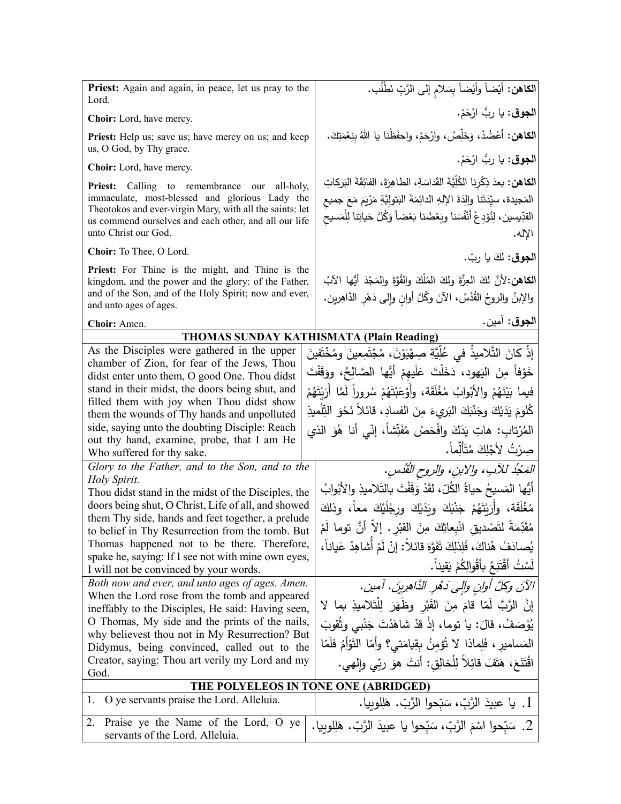| Priest: Again and again, in peace, let us pray to the<br>Lord.                                                                                                                                                                                                                                                                                                                                                                                                                                                                                                                                                                                                                                                                                                                                                                                                                                                                                                                                                                                                                                                                                                                                                                           | ا <b>لكاهن:</b> أيْضاً وأيْضاً بِسَلامِ إلى الرَّبِّ نَطْلُب.                                                                                                                                                                                                                                                                                                                                                                                                                                                                                                                                                                                                                                                                                                                                                                                                                                                                                                                                                                                                                                                                                                         |
|------------------------------------------------------------------------------------------------------------------------------------------------------------------------------------------------------------------------------------------------------------------------------------------------------------------------------------------------------------------------------------------------------------------------------------------------------------------------------------------------------------------------------------------------------------------------------------------------------------------------------------------------------------------------------------------------------------------------------------------------------------------------------------------------------------------------------------------------------------------------------------------------------------------------------------------------------------------------------------------------------------------------------------------------------------------------------------------------------------------------------------------------------------------------------------------------------------------------------------------|-----------------------------------------------------------------------------------------------------------------------------------------------------------------------------------------------------------------------------------------------------------------------------------------------------------------------------------------------------------------------------------------------------------------------------------------------------------------------------------------------------------------------------------------------------------------------------------------------------------------------------------------------------------------------------------------------------------------------------------------------------------------------------------------------------------------------------------------------------------------------------------------------------------------------------------------------------------------------------------------------------------------------------------------------------------------------------------------------------------------------------------------------------------------------|
| Choir: Lord, have mercy.                                                                                                                                                                                                                                                                                                                                                                                                                                                                                                                                                                                                                                                                                                                                                                                                                                                                                                                                                                                                                                                                                                                                                                                                                 | ا <b>لجوق</b> : يا ربُ ارْحَمْ.                                                                                                                                                                                                                                                                                                                                                                                                                                                                                                                                                                                                                                                                                                                                                                                                                                                                                                                                                                                                                                                                                                                                       |
| Priest: Help us; save us; have mercy on us; and keep<br>us, O God, by Thy grace.                                                                                                                                                                                                                                                                                                                                                                                                                                                                                                                                                                                                                                                                                                                                                                                                                                                                                                                                                                                                                                                                                                                                                         | ا <b>لكاهن:</b> أعْضُدْ، وَخَلِّصْ، وارْحَمْ، واحفَظْنا يا اللهُ بنِعْمَتِكَ.                                                                                                                                                                                                                                                                                                                                                                                                                                                                                                                                                                                                                                                                                                                                                                                                                                                                                                                                                                                                                                                                                         |
| Choir: Lord, have mercy.                                                                                                                                                                                                                                                                                                                                                                                                                                                                                                                                                                                                                                                                                                                                                                                                                                                                                                                                                                                                                                                                                                                                                                                                                 | ا <b>لجوق</b> : يا ربُ ارْحَمْ.                                                                                                                                                                                                                                                                                                                                                                                                                                                                                                                                                                                                                                                                                                                                                                                                                                                                                                                                                                                                                                                                                                                                       |
| <b>Priest:</b> Calling to remembrance our<br>all-holy,<br>immaculate, most-blessed and glorious Lady the<br>Theotokos and ever-virgin Mary, with all the saints: let<br>us commend ourselves and each other, and all our life<br>unto Christ our God.                                                                                                                                                                                                                                                                                                                                                                                                                                                                                                                                                                                                                                                                                                                                                                                                                                                                                                                                                                                    | ا <b>لكاهن :</b> بعدَ ذِكْرِنا الكُلِّيَّةَ القَداسَةِ، الطاهِرَةَ، الفائِقَةَ البَرَكاتِ<br>المَجيدة، سيِّدَتَنا والِدَةَ الإِلهِ الدائِمَةَ البَتولِيَّةِ مَرْبَعَ مَعَ جميع<br>القدِّيسين، لِنُوْدِعْ أَنْفُسَنا وبَعْضُنا بَعْضاً وَكُلَّ حَياتِنا لِلْمَسيح<br>الإله.                                                                                                                                                                                                                                                                                                                                                                                                                                                                                                                                                                                                                                                                                                                                                                                                                                                                                            |
| Choir: To Thee, O Lord.                                                                                                                                                                                                                                                                                                                                                                                                                                                                                                                                                                                                                                                                                                                                                                                                                                                                                                                                                                                                                                                                                                                                                                                                                  | ا <b>لجوق:</b> لكَ يا ربّ.                                                                                                                                                                                                                                                                                                                                                                                                                                                                                                                                                                                                                                                                                                                                                                                                                                                                                                                                                                                                                                                                                                                                            |
| Priest: For Thine is the might, and Thine is the<br>kingdom, and the power and the glory: of the Father,<br>and of the Son, and of the Holy Spirit; now and ever,<br>and unto ages of ages.                                                                                                                                                                                                                                                                                                                                                                                                                                                                                                                                                                                                                                                                                                                                                                                                                                                                                                                                                                                                                                              | الكاهن:لأنَّ لكَ العِزَّةَ ولكَ المُلْكَ والقُوَّةَ والمَجْدَ أَيُّها الآبُ<br>والإبنُ والروحُ القُدُسُ، الآنَ وكُلَّ أوانِ وإلى دَهْرِ الدَّاهِرينِ.                                                                                                                                                                                                                                                                                                                                                                                                                                                                                                                                                                                                                                                                                                                                                                                                                                                                                                                                                                                                                 |
| Choir: Amen.                                                                                                                                                                                                                                                                                                                                                                                                                                                                                                                                                                                                                                                                                                                                                                                                                                                                                                                                                                                                                                                                                                                                                                                                                             | ا <b>لجوق</b> : آمين.                                                                                                                                                                                                                                                                                                                                                                                                                                                                                                                                                                                                                                                                                                                                                                                                                                                                                                                                                                                                                                                                                                                                                 |
|                                                                                                                                                                                                                                                                                                                                                                                                                                                                                                                                                                                                                                                                                                                                                                                                                                                                                                                                                                                                                                                                                                                                                                                                                                          | <b>THOMAS SUNDAY KATHISMATA (Plain Reading)</b>                                                                                                                                                                                                                                                                                                                                                                                                                                                                                                                                                                                                                                                                                                                                                                                                                                                                                                                                                                                                                                                                                                                       |
| As the Disciples were gathered in the upper<br>chamber of Zion, for fear of the Jews, Thou<br>didst enter unto them, O good One. Thou didst<br>stand in their midst, the doors being shut, and<br>filled them with joy when Thou didst show<br>them the wounds of Thy hands and unpolluted<br>side, saying unto the doubting Disciple: Reach<br>out thy hand, examine, probe, that I am He<br>Who suffered for thy sake.<br>Glory to the Father, and to the Son, and to the<br>Holy Spirit.<br>Thou didst stand in the midst of the Disciples, the<br>doors being shut, O Christ, Life of all, and showed<br>them Thy side, hands and feet together, a prelude<br>to belief in Thy Resurrection from the tomb. But<br>Thomas happened not to be there. Therefore,<br>spake he, saying: If I see not with mine own eyes,<br>I will not be convinced by your words.<br>Both now and ever, and unto ages of ages. Amen.<br>When the Lord rose from the tomb and appeared<br>ineffably to the Disciples, He said: Having seen,<br>O Thomas, My side and the prints of the nails,<br>why believest thou not in My Resurrection? But<br>Didymus, being convinced, called out to the<br>Creator, saying: Thou art verily my Lord and my<br>God. | إِذْ كَانَ التَّلاميذُ في عُلِّيَّةِ صِهْيَوْنَ، مُجْتَمِعِينَ ومُخْتَفِينَ<br>خَوْفاً مِنَ اليَهود، دَخَلْتَ عَلَيهِمْ أَيُّها الصَّالِحُ، ووَقَفْتَ<br>فيما بَيْنَهُمْ والأَبْوابُ مُغْلَقَة، وأَوْعَبْتَهُمْ سُروراً لَمَّا أَرَبْتَهُمْ<br>كُلومَ يَدَيْكَ وجَنْبَكَ البَريءَ مِنَ الفسادِ، قائلاً نَحْوَ النِّلْميذِ<br>المُرْتابِ: هاتِ يَدَكَ وافْحَصْ مُفَتِّشاً، إنّي أنا هُوَ الذي<br>صِرْتُ لأَجْلِكَ مُتَأَلِّماً.<br>المَجْدُ للآبِ، والابنِ، والروح القُدُسِ.<br>أَيُّها المَسيحُ حياةُ الكُلِّ، لقَدْ وَقَفْتَ بِالنَّلاميذِ والأَبْوابُ<br>مُغْلَقَة، وأَرَبْتَهُمْ جَنْبَكَ وبَدَيْكَ ورجْلَيْكَ معاً، وذلكَ<br>مُقَدِّمَةً لتَصْديقِ انْبِعاثِكَ مِنَ القبْرِ . إلاّ أنَّ توما لَمْ<br>يُصادَفْ هُناكَ، فَلِذلِكَ تَفَوَّهَ قائلاً: إنْ لَمْ أشاهِدْ عَياناً،<br>لَسْتُ أَقْتَنِعُ بِأَقُوالِكُمْ يَقِيناً .<br>الآنَ وكلَّ أوانِ والِي دَهْرِ الدَّاهِرِينَ. آمين.<br>إِنَّ الرَّبَّ لَمّا قامَ مِنَ القَبْرِ وظَهَرَ لِلْتَلاميذِ بما لا<br>يُوْصَفُ، قالَ: يا توما، إذْ قدْ شاهَدْتَ جَنْبي وثُقوبَ<br>المَساميرِ ، فَلِماذا لا تُؤمِنُ بِقِيامَتِي؟ وأَمّا التَوْأُمُ فَلَمّا<br>اقْتَنَعَ، هَتَفَ قَائِلاً لِلْخَالِقِ: أَنتَ هوَ ربِّي والهي. |
|                                                                                                                                                                                                                                                                                                                                                                                                                                                                                                                                                                                                                                                                                                                                                                                                                                                                                                                                                                                                                                                                                                                                                                                                                                          | THE POLYELEOS IN TONE ONE (ABRIDGED)                                                                                                                                                                                                                                                                                                                                                                                                                                                                                                                                                                                                                                                                                                                                                                                                                                                                                                                                                                                                                                                                                                                                  |
| 1. O ye servants praise the Lord. Alleluia.                                                                                                                                                                                                                                                                                                                                                                                                                                                                                                                                                                                                                                                                                                                                                                                                                                                                                                                                                                                                                                                                                                                                                                                              | 1. يا عبيدَ الرَّبِّ، سَبِّحوا الرَّبِّ. هَلِلوبِيا.                                                                                                                                                                                                                                                                                                                                                                                                                                                                                                                                                                                                                                                                                                                                                                                                                                                                                                                                                                                                                                                                                                                  |
| Praise ye the Name of the Lord, O ye<br>servants of the Lord. Alleluia.                                                                                                                                                                                                                                                                                                                                                                                                                                                                                                                                                                                                                                                                                                                                                                                                                                                                                                                                                                                                                                                                                                                                                                  | 2. سَبِّحوا اسْمَ الرَّبِّ، سَبِّحوا يا عبيدَ الرَّبِّ. هَلِلوبيا.                                                                                                                                                                                                                                                                                                                                                                                                                                                                                                                                                                                                                                                                                                                                                                                                                                                                                                                                                                                                                                                                                                    |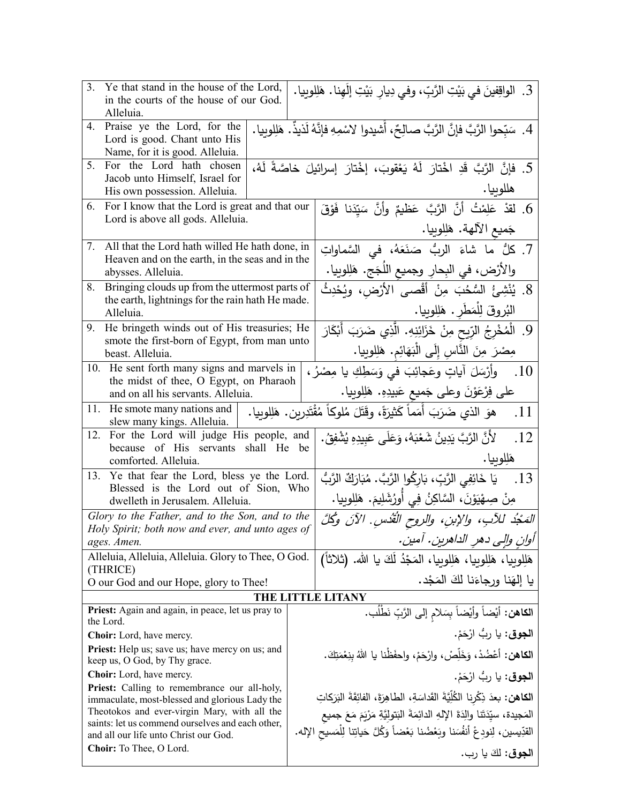| 3. Ye that stand in the house of the Lord,<br>in the courts of the house of our God.                |  | 3.   الواقِفينَ في بَيْتِ الرَّبِّ، وفي دِيارِ  بَيْتِ إلَهِنا.  هَلِلوبِيا.                                                                                            |
|-----------------------------------------------------------------------------------------------------|--|-------------------------------------------------------------------------------------------------------------------------------------------------------------------------|
| Alleluia.                                                                                           |  |                                                                                                                                                                         |
| 4. Praise ye the Lord, for the<br>Lord is good. Chant unto His<br>Name, for it is good. Alleluia.   |  | 4.  سَبِّحوا الرَّبَّ فإنَّ الرَّبَّ صالِحٌ، أَشيدوا لاسْمِهِ فإنَّهُ لَذيذٌ. هَلِلوبِيا.                                                                               |
| For the Lord hath chosen<br>5.                                                                      |  | 5. فإنَّ الرَّبَّ قَدِ اخْتارَ لَهُ يَعْقوبَ، إخْتارَ إسرائيلَ خاصَّةً لَهُ،                                                                                            |
| Jacob unto Himself, Israel for                                                                      |  |                                                                                                                                                                         |
| His own possession. Alleluia.                                                                       |  | هللوبيا.                                                                                                                                                                |
| For I know that the Lord is great and that our<br>6.<br>Lord is above all gods. Alleluia.           |  | 6. لقدْ عَلِمْتُ أَنَّ الرَّبَّ عَظْيمٌ وأَنَّ سَيِّدَنا فَوْقَ                                                                                                         |
|                                                                                                     |  | جَميع الآلهة. هَلِلوبِيا.                                                                                                                                               |
| 7. All that the Lord hath willed He hath done, in                                                   |  | 7. كلُّ ما شاءَ الربُّ صَنَعَهُ، في السَّماواتِ                                                                                                                         |
| Heaven and on the earth, in the seas and in the                                                     |  | والأرْض، في البِحارِ وجميع اللُجَج. هَلِلوبِيا.                                                                                                                         |
| abysses. Alleluia.                                                                                  |  |                                                                                                                                                                         |
| Bringing clouds up from the uttermost parts of<br>8.                                                |  | 8. يُنْشِئُ السُّحُبَ مِنْ أَقْصى الأَرْض، ويُحْدِثُ                                                                                                                    |
| the earth, lightnings for the rain hath He made.<br>Alleluia.                                       |  | الْبُروقَ لِلْمَطَر . هَلِلوبِيا.                                                                                                                                       |
| He bringeth winds out of His treasuries; He<br>9.                                                   |  | 9. الْمُخْرِجُ الرِّيحِ مِنْ خَزَائِنِهِ. الَّذِي ضَرَبَ أَبْكَارَ                                                                                                      |
| smote the first-born of Egypt, from man unto<br>beast. Alleluia.                                    |  | مِصْرَ مِنَ النَّاسِ إِلَى الْمَهَائِمِ. هَلِلوبِيا.                                                                                                                    |
| 10. He sent forth many signs and marvels in                                                         |  |                                                                                                                                                                         |
| the midst of thee, O Egypt, on Pharaoh                                                              |  | وأَرْسَلَ أياتٍ وعَجائِبَ في وَسَطِكِ يا مِصْرُ،<br>.10                                                                                                                 |
| and on all his servants. Alleluia.                                                                  |  | على فِرْعَوْنَ وعلى جَميع عَبيدِهِ. هَلِلوبِيا.                                                                                                                         |
| He smote many nations and<br>11.                                                                    |  | هوَ الذي ضَرَبَ أَمَماً كَثيرَةً، وقَتَلَ مُلوكاً مُقْتَدِرِين. هَلِلوبِيا.<br>.11                                                                                      |
| slew many kings. Alleluia.                                                                          |  |                                                                                                                                                                         |
| For the Lord will judge His people, and<br>12.                                                      |  | لأَنَّ الرَّبَّ يَدِينُ شَعْبَهُ، وَعَلَى عَبِيدِهِ يُشْفِقُ.<br>.12                                                                                                    |
| because of His servants shall He<br>be                                                              |  | هَلِلوبيا.                                                                                                                                                              |
| comforted. Alleluia.                                                                                |  |                                                                                                                                                                         |
| Ye that fear the Lord, bless ye the Lord.<br>13.                                                    |  | يَا خَائِفِي الرَّبِّ، بَارِكُوا الرَّبَّ. مُبَارَكٌ الرَّبُّ<br>.13                                                                                                    |
| Blessed is the Lord out of Sion, Who<br>dwelleth in Jerusalem. Alleluia.                            |  | مِنْ صِهْيَوْنَ، السَّاكِنُ فِي أُورُشَلِيمَ. هَلِلوبِيا.                                                                                                               |
| Glory to the Father, and to the Son, and to the<br>Holy Spirit; both now and ever, and unto ages of |  | المَجْدُ للأَبِ، والإبنِ، والروح القُدْسِ. الآنَ وكُلَّ                                                                                                                 |
| ages. Amen.                                                                                         |  | أوان والى دهر الداهرين. آمين.                                                                                                                                           |
| Alleluia, Alleluia, Alleluia. Glory to Thee, O God.                                                 |  | هَلِلوبيا، هَلِلوبيا، هَلِلوبيا، المَجْدُ لَكَ يا الله. (ثلاثاً)                                                                                                        |
| (THRICE)                                                                                            |  | يا إلهَنا ورجاءَنا لكَ المَجْدِ.                                                                                                                                        |
| O our God and our Hope, glory to Thee!                                                              |  | THE LITTLE LITANY                                                                                                                                                       |
| Priest: Again and again, in peace, let us pray to                                                   |  | ا <b>لكاهن:</b> أيْضاً وأيْضاً بِسَلامِ إلى الرَّبِّ نَطْلُب.                                                                                                           |
| the Lord.                                                                                           |  |                                                                                                                                                                         |
| Choir: Lord, have mercy.                                                                            |  | ا <b>لجوق</b> : يا ربُ ارْحَمْ.                                                                                                                                         |
| Priest: Help us; save us; have mercy on us; and<br>keep us, O God, by Thy grace.                    |  | ا <b>لكاهن:</b> أَعْضُدْ، وَخَلِّصْ، وارْحَمْ، واحفَظْنا يا اللهُ بِنِعْمَتِكَ.                                                                                         |
| Choir: Lord, have mercy.                                                                            |  | ا <b>لجوق</b> : يا ربُّ ارْحَمْ.                                                                                                                                        |
| Priest: Calling to remembrance our all-holy,                                                        |  | الكاهن: بعدَ ذِكْرِنا الكُلِّيَّةَ القَداسَةِ، الطاهِرَةَ، الفائِقَةَ البَرَكاتِ                                                                                        |
| immaculate, most-blessed and glorious Lady the<br>Theotokos and ever-virgin Mary, with all the      |  |                                                                                                                                                                         |
| saints: let us commend ourselves and each other,                                                    |  | المَجيدة، سيِّدَتَنا والِدَةَ الإِلهِ الدائِمَةَ البَتولِيَّةِ مَرْيَمَ مَعَ جميع<br>القدِّيسين، لِنودِعْ أنفُسَنا وبَعْضُنا بَعْضاً وَكُلَّ حَياتِنا لِلْمَسيحِ الإله. |
| and all our life unto Christ our God.<br>Choir: To Thee, O Lord.                                    |  |                                                                                                                                                                         |
|                                                                                                     |  | الجوقي: لَكَ يا رب.                                                                                                                                                     |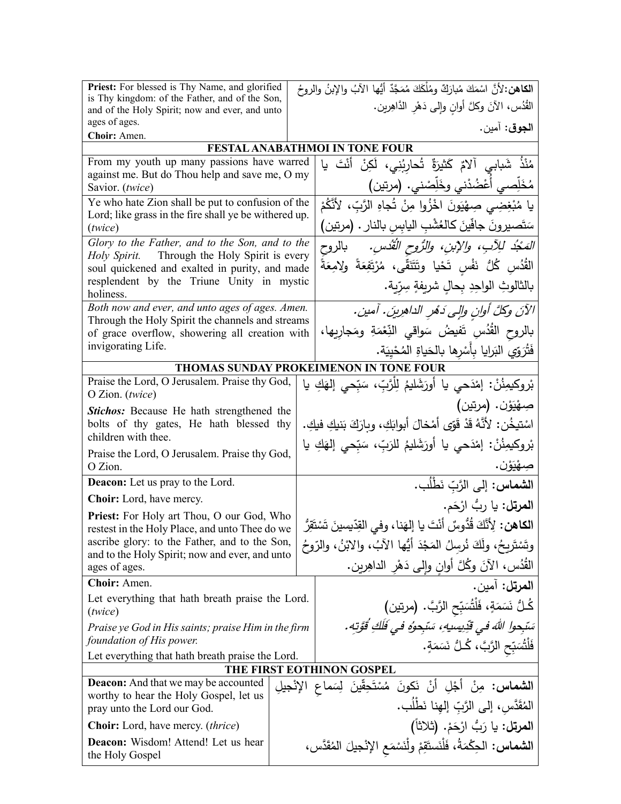| Priest: For blessed is Thy Name, and glorified                                                      |  | ا <b>لكاهن:</b> 'لأنَّ اسْمَكَ مُبارَكٌ ومُلْكَكَ مُمَجَّدٌ أَيُّها الآبُ والإبنُ والروحُ |
|-----------------------------------------------------------------------------------------------------|--|-------------------------------------------------------------------------------------------|
| is Thy kingdom: of the Father, and of the Son,<br>and of the Holy Spirit; now and ever, and unto    |  | القُدُس، الآنَ وكلَّ أوانِ وإلى دَهْرِ الدَّاهِرين.                                       |
| ages of ages.                                                                                       |  | ا <b>لجوق</b> : آمين.                                                                     |
| Choir: Amen.                                                                                        |  |                                                                                           |
|                                                                                                     |  | <b>FESTAL ANABATHMOI IN TONE FOUR</b>                                                     |
| From my youth up many passions have warred                                                          |  | مُنْذُ شَبابي آلامٌ كَثيرَةٌ تُحارِبُنِي، لَكِنْ أَنْتَ يا                                |
| against me. But do Thou help and save me, O my<br>Savior. (twice)                                   |  | مُخَلِّصي أَعْضُدْني وخَلِّصْني. (مرتين)                                                  |
| Ye who hate Zion shall be put to confusion of the                                                   |  | يا مُبْغِضِي صِهْيَونَ اخْزُوا مِنْ تُجاهِ الرَّبِّ، لأَنَّكُمْ                           |
| Lord; like grass in the fire shall ye be withered up.<br>(twice)                                    |  | سَتَصبيرونَ جافّينَ كالعُشْبِ اليابس بالنار . (مرتين)                                     |
| Glory to the Father, and to the Son, and to the                                                     |  | الْمَجْدُ لِلِأَبِ، والإبنِ، والرُّوحِ الْقُدْسِ.<br>بالروح                               |
| Holy Spirit. Through the Holy Spirit is every                                                       |  |                                                                                           |
| soul quickened and exalted in purity, and made                                                      |  | القُدُسِ كُلُّ نَفْسٍ تَحْيا وتَتَنَقّى، مُرْتَفِعَةً ولامِعَةً                           |
| resplendent by the Triune Unity in mystic<br>holiness.                                              |  | بالثالوثِ الواحِدِ بحالِ شريفةٍ سِرّية.                                                   |
| Both now and ever, and unto ages of ages. Amen.<br>Through the Holy Spirit the channels and streams |  | الآنَ وكلَّ أوانِ والِي دَهْرِ الداهرِينَ. آمين.                                          |
| of grace overflow, showering all creation with                                                      |  | بالروح القُدُسِ تَفيضُ سَواقي النِّعْمَةِ ومَجارِيها،                                     |
| invigorating Life.                                                                                  |  | فَتُرَوِّي النِّرايا بِأَسْرِها بِالْحَياةِ الْمُحْيِيَةِ.                                |
|                                                                                                     |  | <b>THOMAS SUNDAY PROKEIMENON IN TONE FOUR</b>                                             |
| Praise the Lord, O Jerusalem. Praise thy God,<br>O Zion. (twice)                                    |  | بْروكيمِثْنْ: إمْدَحى يا أُورَشَليمُ لِلرَّبِّ، سَبِّحى إِلْهَكِ يا                       |
| <b>Stichos:</b> Because He hath strengthened the                                                    |  | صِهْيَوْنِ. (مرتين)                                                                       |
| bolts of thy gates, He hath blessed thy<br>children with thee.                                      |  | اسْتيخُن: لأَنَّهُ قَدْ قَوِّي أَمْخالَ أبوابَكِ، وبارَكَ بَنيكِ فيكِ.                    |
|                                                                                                     |  | بْروكيمِنُنْ: إمْدَحى يا أُورَشَليمُ للرَبِّ، سَبِّحى إِلهَكِ يا                          |
| Praise the Lord, O Jerusalem. Praise thy God,<br>O Zion.                                            |  | صِهْيَوْن.                                                                                |
| <b>Deacon:</b> Let us pray to the Lord.                                                             |  | ا <b>لشماس:</b> إلى الرَّبِّ نَطْلُب.                                                     |
| <b>Choir:</b> Lord, have mercy.                                                                     |  | ا <b>لمرتل:</b> يا ربُّ ارْحَم.                                                           |
| Priest: For Holy art Thou, O our God, Who                                                           |  |                                                                                           |
| restest in the Holy Place, and unto Thee do we                                                      |  | ا <b>لكاهن:</b> لِأَنَّكَ قُدُّوسٌ أَنْتَ يا إِلهَنا، وفي القِدّيسينَ شَنْقَرٌّ           |
| ascribe glory: to the Father, and to the Son,<br>and to the Holy Spirit; now and ever, and unto     |  | وتَسْتَرِيحُ، ولَكَ نُرِسِلُ المَجْدَ أَيُّها الآبُ، والابْنُ، والرّوحُ                   |
| ages of ages.                                                                                       |  | الْقُدُسِ، الآنَ وكُلَّ أُوانٍ وإلى دَهْرِ الداهِرِينِ.                                   |
| Choir: Amen.                                                                                        |  | المرتل: آمين.                                                                             |
| Let everything that hath breath praise the Lord.                                                    |  | كُلُّ نَسَمَةٍ، فَلْتُسَبِّحِ الرَّبَّ. (مرتين)                                           |
| (twice)                                                                                             |  | سَبْحوا اللّهَ في قُدِيسِيهِ، سَبْحوُه في فَلَكِ قُوَّتِه.                                |
| Praise ye God in His saints; praise Him in the firm<br>foundation of His power.                     |  | فَلْتُسَبِّحِ الرَّبَّ، كُـلُّ نَسَمَةٍ.                                                  |
| Let everything that hath breath praise the Lord.                                                    |  |                                                                                           |
|                                                                                                     |  | THE FIRST EOTHINON GOSPEL                                                                 |
| <b>Deacon:</b> And that we may be accounted<br>worthy to hear the Holy Gospel, let us               |  | ا <b>لشماس:</b> مِنْ أَجْلِ أَنْ نَكونَ مُسْتَحِقِّينَ لِسَماعِ الإِنْجيلِ                |
| pray unto the Lord our God.                                                                         |  | المُقَدَّس، إلى الرَّبِّ إلهنا نَطْلُب.                                                   |
| <b>Choir:</b> Lord, have mercy. <i>(thrice)</i>                                                     |  | المرتل: يا رَبُّ ارْحَمْ. (ثلاثاً)                                                        |
| Deacon: Wisdom! Attend! Let us hear<br>the Holy Gospel                                              |  | ا <b>لشماس:</b> الحِكْمَةُ، فَلْنَستَقِمْ ولْنَسْمَع الإنْجيلَ المُقَدَّس،                |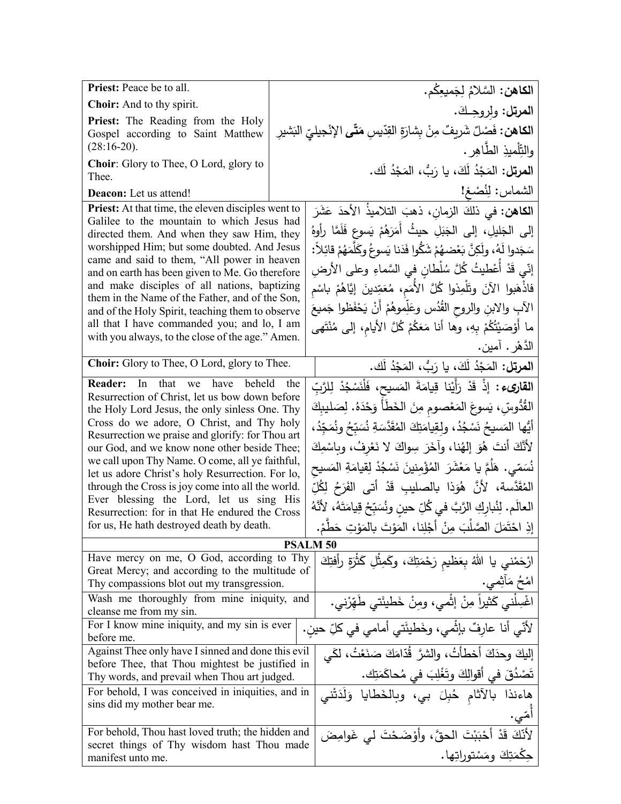| Priest: Peace be to all.                                                                                                                                                                                                                                                                                                                                                                                                                                                                                                                                                                     |     | ا <b>لكاهن:</b> السَّلامُ لِجَميعِكُم.                                                                                                                                                                                                                                                                                                                                                                                                                                                                                                                                                                  |
|----------------------------------------------------------------------------------------------------------------------------------------------------------------------------------------------------------------------------------------------------------------------------------------------------------------------------------------------------------------------------------------------------------------------------------------------------------------------------------------------------------------------------------------------------------------------------------------------|-----|---------------------------------------------------------------------------------------------------------------------------------------------------------------------------------------------------------------------------------------------------------------------------------------------------------------------------------------------------------------------------------------------------------------------------------------------------------------------------------------------------------------------------------------------------------------------------------------------------------|
| <b>Choir:</b> And to thy spirit.                                                                                                                                                                                                                                                                                                                                                                                                                                                                                                                                                             |     | ا <b>لمرتل:</b> ولروحِكَ.                                                                                                                                                                                                                                                                                                                                                                                                                                                                                                                                                                               |
| Priest: The Reading from the Holy<br>Gospel according to Saint Matthew<br>$(28:16-20).$                                                                                                                                                                                                                                                                                                                                                                                                                                                                                                      |     | ا <b>لكاهن:</b> فَصْلٌ شَرِيفٌ مِنْ بِشارَةِ القِدّيسِ <b>مَتّى</b> الإِنْجيليّ البَشيرِ<br>والتِّلْميذِ الطَّاهِرِ .                                                                                                                                                                                                                                                                                                                                                                                                                                                                                   |
| Choir: Glory to Thee, O Lord, glory to                                                                                                                                                                                                                                                                                                                                                                                                                                                                                                                                                       |     |                                                                                                                                                                                                                                                                                                                                                                                                                                                                                                                                                                                                         |
| Thee.                                                                                                                                                                                                                                                                                                                                                                                                                                                                                                                                                                                        |     | ا <b>لمرتل:</b> المَجْدُ لَكَ، يا رَبُّ، المَجْدُ لَك.                                                                                                                                                                                                                                                                                                                                                                                                                                                                                                                                                  |
| Deacon: Let us attend!                                                                                                                                                                                                                                                                                                                                                                                                                                                                                                                                                                       |     | الشماس: لِنُصْـغ!                                                                                                                                                                                                                                                                                                                                                                                                                                                                                                                                                                                       |
| <b>Priest:</b> At that time, the eleven disciples went to<br>Galilee to the mountain to which Jesus had<br>directed them. And when they saw Him, they<br>worshipped Him; but some doubted. And Jesus<br>came and said to them, "All power in heaven<br>and on earth has been given to Me. Go therefore<br>and make disciples of all nations, baptizing                                                                                                                                                                                                                                       |     | ا <b>لكاهن:</b> في ذلكَ الزمانِ، ذهبَ التلاميذُ الأحدَ عَشَرَ<br>إِلَى الْجَلِيلِ، إِلَى الْجَبَلِ حِيثُ أَمَرَهُمْ يَسوعٍ فَلَمَّا رِأُوهُ<br>سَجَدوا لَهُ، ولَكِنَّ بَعْضهُمْ شَكُّوا فَدَنا يَسوعُ وكَلَّمَهُمْ قائِلاً:<br>إنّي قَدْ أَعْطيتُ كُلَّ سُلْطانٍ في السَّماءِ وعلى الأرضِ<br>فاذْهَبوا الآنَ وتَلْمِذوا كُلَّ الأُمَم، مُعَمِّدينَ إيَّاهُمْ باسْم                                                                                                                                                                                                                                      |
| them in the Name of the Father, and of the Son,<br>and of the Holy Spirit, teaching them to observe<br>all that I have commanded you; and lo, I am<br>with you always, to the close of the age." Amen.                                                                                                                                                                                                                                                                                                                                                                                       |     | الآبِ والابنِ والروحِ القُدُسِ وعَلِّموهُمْ أنْ يَحْفَظوا جَميعَ<br>ما أَوْصَيْتُكُمْ بِهِ، وها أَنا مَعَكُمْ كُلَّ الأيام، إلى مُنْتَهي<br>الدَّهْرِ . آمين.                                                                                                                                                                                                                                                                                                                                                                                                                                           |
| Choir: Glory to Thee, O Lord, glory to Thee.                                                                                                                                                                                                                                                                                                                                                                                                                                                                                                                                                 |     | ا <b>لمرتل:</b> المَجْدُ لَكَ، يا رَبُّ، المَجْدُ لَك.                                                                                                                                                                                                                                                                                                                                                                                                                                                                                                                                                  |
| Reader: In that we have<br>beheld<br>Resurrection of Christ, let us bow down before<br>the Holy Lord Jesus, the only sinless One. Thy<br>Cross do we adore, O Christ, and Thy holy<br>Resurrection we praise and glorify: for Thou art<br>our God, and we know none other beside Thee;<br>we call upon Thy Name. O come, all ye faithful,<br>let us adore Christ's holy Resurrection. For lo,<br>through the Cross is joy come into all the world.<br>Ever blessing the Lord, let us sing His<br>Resurrection: for in that He endured the Cross<br>for us, He hath destroyed death by death. | the | ا <b>لقارىء :</b> إِذْ قَدْ رَأَيْنا قِيامَةَ المَسيح، فَلْنَسْجُدْ لِلرَّبِّ<br>القُدُّوسِّ، يَسوعَ المَعْصومِ مِنَ الْخَطَأُ وَحْدَهُ. لِصَليبِكَ<br>أَيُّها المَسيحُ نَسْجُدُ، ولقِيامَتِكَ المُقَدَّسَةِ نُسَبِّحُ ونُمَجِّدُ،<br>لأَنَّكَ أَنتَ هُوَ إِلْهُنا، وآخَرَ سِواكَ لا نَعْرِفُ، وبِاسْمِكَ<br>نُسَمّى. هَلُمَّ يا مَعْشَرَ المُؤْمِنينَ نَسْجُدْ لِقِيامَةِ المَسيح<br>المُقَدَّسة، لأَنَّ هُوَذا بالصليبِ قَدْ أَتى الفَرَحُ لِكُلِّ<br>العالَم. لِنُباركِ الرَّبَّ في كُلِّ حين ونُسَبِّحْ قِيامَتَهُ، لأنَّهُ<br>إِذِ احْتَمَلَ الصَّلْبَ مِنْ أَجْلِنا، المَوْتَ بِالمَوْتِ حَطَّمْ. |
| PSALM <sub>50</sub><br>Have mercy on me, O God, according to Thy                                                                                                                                                                                                                                                                                                                                                                                                                                                                                                                             |     |                                                                                                                                                                                                                                                                                                                                                                                                                                                                                                                                                                                                         |
| Great Mercy; and according to the multitude of<br>Thy compassions blot out my transgression.<br>Wash me thoroughly from mine iniquity, and<br>cleanse me from my sin.                                                                                                                                                                                                                                                                                                                                                                                                                        |     | ارْحَمْني يا اللهُ بِعَظيم رَحْمَتِكَ، وكَمِثْلِ كَثْرَةِ رأفتِكَ<br>الْهْسِلْني كَثيراً مِنْ إِثْمي، ومِنْ خَطْيئَتي طَهِّرْني.                                                                                                                                                                                                                                                                                                                                                                                                                                                                        |
| For I know mine iniquity, and my sin is ever<br>before me.                                                                                                                                                                                                                                                                                                                                                                                                                                                                                                                                   |     | لأنّي أنا عارفٌ بإثْمي، وخَطيئَتي أمامي في كلِّ حينِ.                                                                                                                                                                                                                                                                                                                                                                                                                                                                                                                                                   |
| Against Thee only have I sinned and done this evil<br>before Thee, that Thou mightest be justified in<br>Thy words, and prevail when Thou art judged.<br>For behold, I was conceived in iniquities, and in<br>sins did my mother bear me.                                                                                                                                                                                                                                                                                                                                                    |     | إليكَ وحدَكَ أخطأتُ، والشرَّ قُدَّامَكَ صَنَعْتُ، لَكَي<br>تَصْدُقَ في أَقوالِكَ وتَغْلِبَ في مُحاكَمَتِك.<br>هاءنذا بالآثام حُبِلَ بي، وبالخَطايا وَلَدَتْني                                                                                                                                                                                                                                                                                                                                                                                                                                           |
| For behold, Thou hast loved truth; the hidden and<br>secret things of Thy wisdom hast Thou made<br>manifest unto me.                                                                                                                                                                                                                                                                                                                                                                                                                                                                         |     | لأَنَّكَ قَدْ أَحْبَبْتَ الْحقَّ، وأَوْضَحْتَ لَى غَوامِضَ<br>حكْمَتِكَ ومَسْتوراتِها.                                                                                                                                                                                                                                                                                                                                                                                                                                                                                                                  |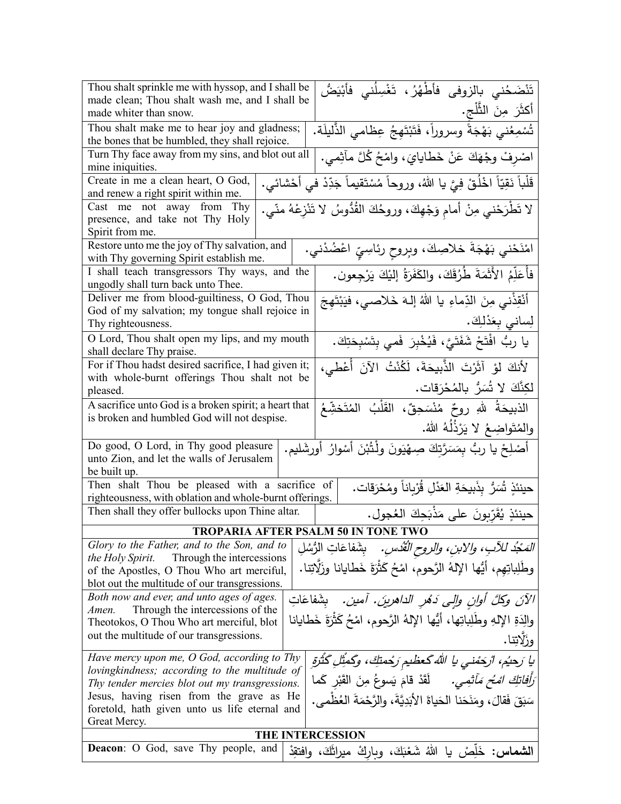| Thou shalt sprinkle me with hyssop, and I shall be                                        |                        | تَنْضَحُني بالزوفي فأطْهُرُ، تَغْسِلُني فأبْيَضُ                                          |
|-------------------------------------------------------------------------------------------|------------------------|-------------------------------------------------------------------------------------------|
| made clean; Thou shalt wash me, and I shall be                                            |                        |                                                                                           |
| made whiter than snow.                                                                    | أكثَرَ مِنَ الثَّلْجِ. |                                                                                           |
| Thou shalt make me to hear joy and gladness;                                              |                        | تُسْمِعُني بَهْجَةً وسروراً، فَتَبْتَهِجُ عِظامي الذَّليلَة.                              |
| the bones that be humbled, they shall rejoice.                                            |                        |                                                                                           |
| Turn Thy face away from my sins, and blot out all                                         |                        | اصْرِفْ وجْهَكَ عَنْ خَطايايَ، وامْحُ كُلَّ مآثِمي.                                       |
| mine iniquities.                                                                          |                        |                                                                                           |
| Create in me a clean heart, O God,<br>and renew a right spirit within me.                 |                        | قَلْباً نَقِيّاً اخْلُقْ فِيَّ يا اللهُ، وروحاً مُسْتَقيماً جَدِّدْ في أَحْشائي.          |
| Cast me not away from Thy                                                                 |                        |                                                                                           |
| presence, and take not Thy Holy                                                           |                        | لا تَطْرَحْني مِنْ أمام وَجْهِكَ، وروحُكَ القُدُّوسُ لا تَنْزِعْهُ منّي.                  |
| Spirit from me.                                                                           |                        |                                                                                           |
| Restore unto me the joy of Thy salvation, and                                             |                        | امْنَحْني بَهْجَةَ خلاصِكَ، وبِروحِ رِئاسِيِّ اعْضُدْني.                                  |
| with Thy governing Spirit establish me.                                                   |                        |                                                                                           |
| I shall teach transgressors Thy ways, and the                                             |                        | فأُعَلِّمُ الأَثَمَةَ طُرُقَكَ، والكَفَرَةُ إليْكَ يَرْجِعون.                             |
| ungodly shall turn back unto Thee.                                                        |                        |                                                                                           |
| Deliver me from blood-guiltiness, O God, Thou                                             |                        | أَنْقِذْني مِنَ الدِّماءِ يا اللهُ إلهَ خَلاصي، فيَبْتَهِجَ                               |
| God of my salvation; my tongue shall rejoice in                                           |                        | لِساني بِعَدْلِكَ.                                                                        |
| Thy righteousness.                                                                        |                        |                                                                                           |
| O Lord, Thou shalt open my lips, and my mouth                                             |                        | يا ربُّ افْتَحْ شَفَتَيَّ، فَيُخْبِرَ فَمي بِتَسْبِحَتِكَ.                                |
| shall declare Thy praise.<br>For if Thou hadst desired sacrifice, I had given it;         |                        |                                                                                           |
| with whole-burnt offerings Thou shalt not be                                              |                        | لأنكَ لوْ آثَرْتَ الذَّبيحَةَ، لَكُنْتُ الآنَ أُعْطي،                                     |
| pleased.                                                                                  |                        | لكِنَّكَ لا تُسَرُّ بالمُحْرَقات.                                                         |
| A sacrifice unto God is a broken spirit; a heart that                                     |                        | الذبيحَةُ للهِ روحٌ مُنْسَحِقٌ، القَلْبُ المُتَخشِّعُ                                     |
| is broken and humbled God will not despise.                                               |                        |                                                                                           |
|                                                                                           |                        | والمُتَواضِعُ لا يَرْذُلُهُ اللهُ.                                                        |
| Do good, O Lord, in Thy good pleasure                                                     |                        | أَصْلِحْ يا ربُّ بِمَسَرَّتِكَ صِهْيَونَ ولْمَتُبْنَ أَسْوارُ أُورِشَليم.                 |
| unto Zion, and let the walls of Jerusalem                                                 |                        |                                                                                           |
| be built up.                                                                              |                        |                                                                                           |
| Then shalt Thou be pleased with a sacrifice of                                            |                        | حينئذٍ تُسَرُّ بِذَبيحَةِ العَدْلِ قُرْباناً ومُحْرَقات.                                  |
| righteousness, with oblation and whole-burnt offerings.                                   |                        |                                                                                           |
| Then shall they offer bullocks upon Thine altar.                                          |                        | حينئذٍ يُقَرِّبونَ على مَذْبَحِكَ العُجول.                                                |
| <b>TROPARIA AFTER PSALM 50 IN TONE TWO</b>                                                |                        |                                                                                           |
| Glory to the Father, and to the Son, and to                                               |                        | <i>المَجْدُ للآبِ، والابنِ، والروح الْقُدْسِ.</i> بِشَفاعَاتِ الرُّسُلِ                   |
| <i>the Holy Spirit.</i> Through the intercessions                                         |                        | وطَلِباتِهم، أَيُّها الإِلهُ الرَّحوم، امْحُ كَثْرَةَ خَطايانا وزَلَّاتِنا.               |
| of the Apostles, O Thou Who art merciful,                                                 |                        |                                                                                           |
| blot out the multitude of our transgressions.                                             |                        |                                                                                           |
| Both now and ever, and unto ages of ages.<br>Through the intercessions of the<br>Amen.    |                        | الآنَ وكلَّ أُوانٍ وإلى دَمُرِ الداهرينَ. أمين.   بِشَفاعَاتِ                             |
| Theotokos, O Thou Who art merciful, blot                                                  |                        | والِدَةِ الإِلهِ وطَلِباتِها، أَيُّها الإِلهُ الرَّحومِ، امْحُ كَثْرَةَ خَطايانا          |
| out the multitude of our transgressions.                                                  |                        |                                                                                           |
|                                                                                           |                        | وزَلاتِنا.                                                                                |
| Have mercy upon me, O God, according to Thy                                               |                        | يا رَحيُم، ارْحَمْني يا اللهُ كعظيم رَحْمتكِ، وكَمثِلِ كَثْرَةِ                           |
| lovingkindness; according to the multitude of                                             |                        | <i>َرَأَفَاتِكَ امْحُ مَأْتُمِيّ.</i> لَقَدْ قَامَ يَسوعُ مِنَ الْقَبْر <sup>َ</sup> كَما |
| Thy tender mercies blot out my transgressions.                                            |                        |                                                                                           |
| Jesus, having risen from the grave as He<br>foretold, hath given unto us life eternal and |                        | سَبَقَ فَقالَ، ومَنَحَنا الحَياةَ الأَبَدِيَّةَ، والرَّحْمَةَ العُظْمى.                   |
| Great Mercy.                                                                              |                        |                                                                                           |
|                                                                                           |                        | <b>THE INTERCESSION</b>                                                                   |
| <b>Deacon:</b> O God, save Thy people, and                                                |                        | ا <b>لشماس:</b> خَلِّصْ يا اللهُ شَعْبَكَ، وباركْ ميراثَكَ، وافتقِدْ                      |
|                                                                                           |                        |                                                                                           |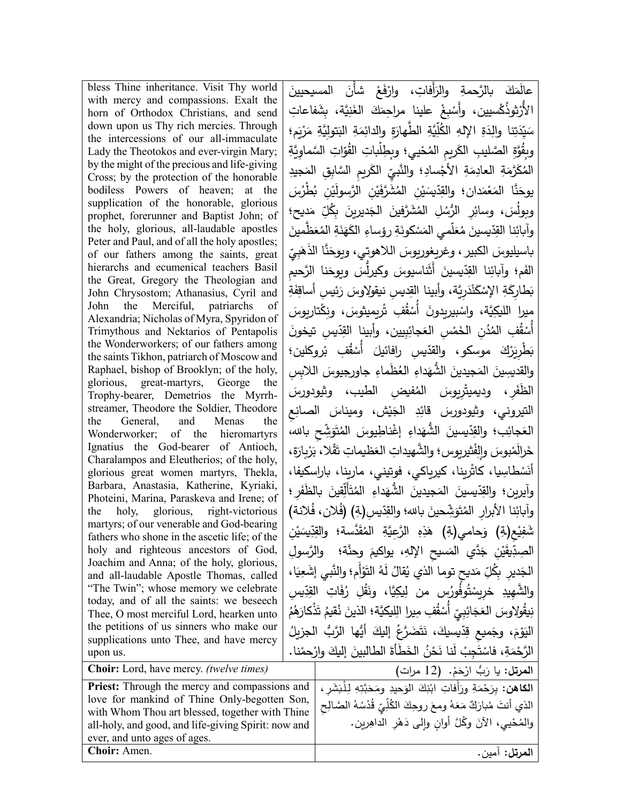| bless Thine inheritance. Visit Thy world<br>with mercy and compassions. Exalt the                      |  | عالَمَكَ بالرَّحمةِ والرَأفاتِ، وارْفَعْ شأنَ المسيحيينَ                               |
|--------------------------------------------------------------------------------------------------------|--|----------------------------------------------------------------------------------------|
| horn of Orthodox Christians, and send                                                                  |  | الأَرْثِوذُكْسيين، وأَسْبِغْ علينا مراحِمَكَ الغَنِيَّة، بِشَفاعاتِ                    |
| down upon us Thy rich mercies. Through<br>the intercessions of our all-immaculate                      |  | سَيّدَتِنا والِدَةِ الإِلهِ الكُلِّيَّةِ الطّهارَةِ والدائِمَةِ البَتوليَّةِ مَرْيَمِ؛ |
| Lady the Theotokos and ever-virgin Mary;                                                               |  | وبِقُوَّةِ الصَّليبِ الكَريمِ المُحْييِ؛ وبطِلْباتِ القُوّاتِ السَّماوِيَّةِ           |
| by the might of the precious and life-giving<br>Cross; by the protection of the honorable              |  | المُكَرَّمَةِ العادِمَةِ الأجْسادِ؛ والنَّبيِّ الكَريمِ السَّابِقِ المَجيدِ            |
| bodiless Powers of heaven; at the                                                                      |  | يوحَنَّا المَعْمَدان؛ والقِدّيسَيْنِ المُشَرَّفَيْنِ الرَّسولَيْنِ بُطْرُسَ            |
| supplication of the honorable, glorious                                                                |  | وبولُسَ، وسائِر الرُّسُلِ المُشَرَّفينَ الجَديرينَ بِكُلِّ مَديح؛                      |
| prophet, forerunner and Baptist John; of<br>the holy, glorious, all-laudable apostles                  |  | وآبائِنا القِدّيسينَ مُعَلَّمي المَسْكونَةِ رؤساءِ الكَهَنَةِ المُعَظِّمينَ            |
| Peter and Paul, and of all the holy apostles;                                                          |  | باسيليوسَ الكبير ، وغريغوريوسَ اللاهوتي، ويوحَنَّا الذَهَبِيِّ                         |
| of our fathers among the saints, great<br>hierarchs and ecumenical teachers Basil                      |  |                                                                                        |
| the Great, Gregory the Theologian and                                                                  |  | الفَم؛ وأبائِنا القِدّيسينَ أثَناسيوسَ وكيرلِّسَ وبوحَنا الرَّحيم                      |
| John Chrysostom; Athanasius, Cyril and                                                                 |  | بَطَارِكَةِ الإِسْكَنْدَرِيَّة، وأبينا القِديسِ نيقولِاوسَ رَئِيسِ أَساقِفَةِ          |
| John the Merciful, patriarchs of<br>Alexandria; Nicholas of Myra, Spyridon of                          |  | ميرا الليكِيَّة، واسْبيريدونَ أسْقُفِ تْريميثوسَ، ونِكْتاريوسَ                         |
| Trimythous and Nektarios of Pentapolis                                                                 |  | أَسْقُفِ الْمُدُنِ الْخَمْسِ الْعَجائِبِيينِ، وأَبينا القِدّيسِ تيخونَ                 |
| the Wonderworkers; of our fathers among<br>the saints Tikhon, patriarch of Moscow and                  |  | بَطْرِيَرْكَ موسكو، والقدّيسِ رافائيلَ أَسْقُفِ بْروكلين؛                              |
| Raphael, bishop of Brooklyn; of the holy,                                                              |  | والقديسِينَ المَجيدينَ الشَّهَداءِ العُظُماءِ جاورجيوسَ اللابِسِ                       |
| glorious, great-martyrs, George the<br>Trophy-bearer, Demetrios the Myrrh-                             |  | الظَّفَرِ ، وديميتْرِيوسَ المُفيضِ الطيب، وثيودورسَ                                    |
| streamer, Theodore the Soldier, Theodore                                                               |  | التيروني، وثيودورسَ قائِدِ الجَيْش، وميناسَ الصانِع                                    |
| the General, and Menas the<br>Wonderworker; of the hieromartyrs                                        |  | العَجائِب؛ والقِدّيسينَ الشَّهَداءِ إغْناطِيوسَ المُتَوَشِّحِ بالله،                   |
| Ignatius the God-bearer of Antioch,                                                                    |  | خَرالَمْبوسَ والِفْتْيرِيوس؛ والشَّهيداتِ العَظيماتِ تَقْلا، بَرْبارَة،                |
| Charalampos and Eleutherios; of the holy,<br>glorious great women martyrs, Thekla,                     |  | أَنَسْطَاسِيا، كَاثْرِينا، كيرياكى، فوتينى، مارينا، باراسكيفا،                         |
| Barbara, Anastasia, Katherine, Kyriaki,                                                                |  | وآيرين؛ والقِدّيسينَ المَجيدينَ الشُّهَداءِ المُتَأَلِّقِينَ بالظَفَرِ؛                |
| Photeini, Marina, Paraskeva and Irene; of<br>the holy, glorious, right-victorious                      |  | وآبائِنا الأبرار المُتَوَشِّحينَ بالله؛ والقِدّيس(ةِ) (فُلان، فُلانة)                  |
| martyrs; of our venerable and God-bearing                                                              |  | شَفِيْع(4) وَحامي(4) هَذِهِ الرَّعِيَّةِ المُقَدَّسة؛ والقِدِّيسَيْن                   |
| fathers who shone in the ascetic life; of the<br>holy and righteous ancestors of God,                  |  |                                                                                        |
| Joachim and Anna; of the holy, glorious,                                                               |  | الصِدِّيقَيْنِ جَدَّي المَسيحِ الإِلهِ، يواكيمَ وحنَّة؛  والرَّسولِ                    |
| and all-laudable Apostle Thomas, called                                                                |  | الْجَديرِ بِكُلِّ مَديحٍ توما الذي يُقالُ لَهُ التَوْأُمِ؛ والنَّبِي إشَعِيَا،         |
| "The Twin"; whose memory we celebrate<br>today, and of all the saints: we beseech                      |  | والشَّهِيدِ خريسْتُوفُورُس من لِيكِيَّا، ونَقْلِ رُفَاتِ القِدِّيسِ                    |
| Thee, O most merciful Lord, hearken unto                                                               |  | نِيقُولِاوِسَ العَجَائِبِيِّ أَسْقُفِ مِيرا اللِلِكِيَّة؛ الذينَ نُقيمُ تَذْكارَهُمُ   |
| the petitions of us sinners who make our<br>supplications unto Thee, and have mercy                    |  | الْيَوْمَ، وجَميع قِدّيسيكَ، نَتَضَرَّعُ إِلَيكَ أَيُّها الرَّبُّ الْجزيلُ             |
| upon us.                                                                                               |  | الرَّحْمَةِ، فاسْتَجِبْ لَنا نَحْنُ الْخَطَأَةَ الطالبينَ إليكَ وارْحِمْنا.            |
| <b>Choir:</b> Lord, have mercy. <i>(twelve times)</i>                                                  |  | ا <b>لمرتل:</b> يا رَبُّ ارْحَمْ. (12 مرات)                                            |
| <b>Priest:</b> Through the mercy and compassions and                                                   |  | ا <b>لكاهن:</b> برَحْمَةِ ورَأَفاتِ ابْنِكَ الوَحيدِ ومَحَبَّتِهِ لِلْبَشَرِ ،         |
| love for mankind of Thine Only-begotten Son,                                                           |  | الذي أنتَ مُبارَكٌ مَعَهُ ومعَ روحِكَ الكُلِّيّ قُدْسُهُ الصَّالِح                     |
| with Whom Thou art blessed, together with Thine<br>all-holy, and good, and life-giving Spirit: now and |  | والمُحْيي، الآنَ وكُلَّ أُوانِ وإِلَى دَهْرِ الداهِرينِ.                               |
| ever, and unto ages of ages.                                                                           |  |                                                                                        |
| Choir: Amen.                                                                                           |  | ا <b>لمرتل:</b> آمين.                                                                  |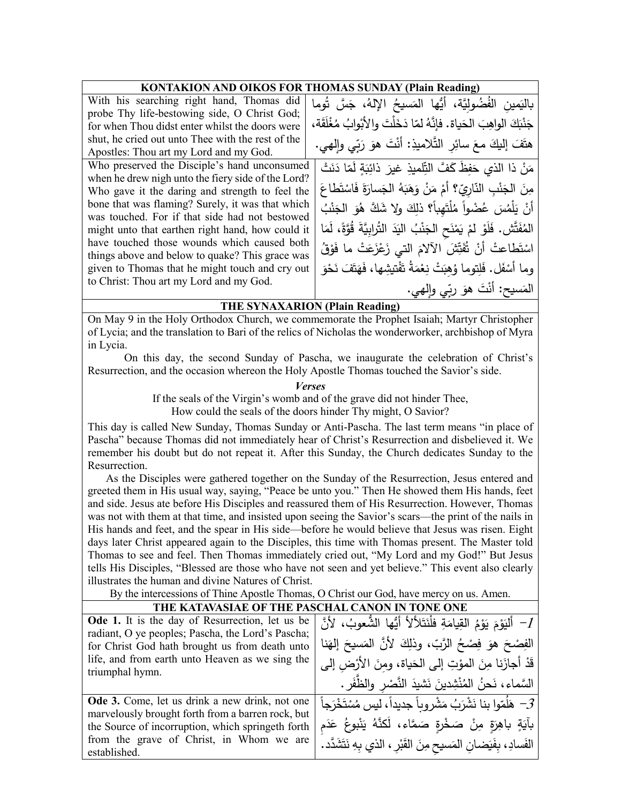## **KONTAKION AND OIKOS FOR THOMAS SUNDAY (Plain Reading)**

| With his searching right hand, Thomas did          | باليَمين الفُضُوليَّة، أيُّها المَسيحُ الإِلهُ، جَسَّ تُوما                      |
|----------------------------------------------------|----------------------------------------------------------------------------------|
| probe Thy life-bestowing side, O Christ God;       |                                                                                  |
| for when Thou didst enter whilst the doors were    | جَنْبَكَ الواهِبَ الحَياة. فإنَّهُ لمّا دَخَلْتَ والأَبْوابُ مُغْلَقَة،          |
| shut, he cried out unto Thee with the rest of the  | هتَفَ إليكَ معَ سائِرِ التَّلاميذِ: أَنْتَ هوَ رَبِّي وإلهي.                     |
| Apostles: Thou art my Lord and my God.             |                                                                                  |
| Who preserved the Disciple's hand unconsumed       | مَنْ ذا الذي حَفِظَ كَفَّ النِّلميذِ غيرَ ذائِبَةٍ لَمّا دَنَتْ                  |
| when he drew nigh unto the fiery side of the Lord? |                                                                                  |
| Who gave it the daring and strength to feel the    | مِنَ الْجَنْبِ النَّارِيِّ؟ أَمْ مَنْ وَهَبَهُ الْجَسارَةَ فَاسْتَطَاعَ          |
| bone that was flaming? Surely, it was that which   | أَنْ يَلْمُسَ عُضْواً مُلْتَهباً؟ ذلِكَ ولا شَكَّ هُوَ الجَنْبُ                  |
| was touched. For if that side had not bestowed     |                                                                                  |
| might unto that earthen right hand, how could it   | المُفَتَّش. فَلَوْ لَمْ يَمْنَحِ الْجَنْبُ الْيَدَ الثُّرابِيَّةَ قُوَّةً، لَمَا |
| have touched those wounds which caused both        | اسْتَطَاعتْ أَنْ تُفَتِّشَ الآلامَ الّتي زَعْزَعَتْ ما فَوْقُ                    |
| things above and below to quake? This grace was    |                                                                                  |
| given to Thomas that he might touch and cry out    | وما أَسْفَل. فَلِتوما وُهِبَتْ نِعْمَةُ تَفْتِيثِيها، فَهَتَفَ نَحْوَ            |
| to Christ: Thou art my Lord and my God.            |                                                                                  |
|                                                    | المَسيح: أَنْتَ هوَ ربّي وإلهي.                                                  |
|                                                    |                                                                                  |

## **THE SYNAXARION (Plain Reading)**

On May 9 in the Holy Orthodox Church, we commemorate the Prophet Isaiah; Martyr Christopher of Lycia; and the translation to Bari of the relics of Nicholas the wonderworker, archbishop of Myra in Lycia.

On this day, the second Sunday of Pascha, we inaugurate the celebration of Christ's Resurrection, and the occasion whereon the Holy Apostle Thomas touched the Savior's side.

*Verses*

If the seals of the Virgin's womb and of the grave did not hinder Thee,

How could the seals of the doors hinder Thy might, O Savior?

This day is called New Sunday, Thomas Sunday or Anti-Pascha. The last term means "in place of Pascha" because Thomas did not immediately hear of Christ's Resurrection and disbelieved it. We remember his doubt but do not repeat it. After this Sunday, the Church dedicates Sunday to the Resurrection.

As the Disciples were gathered together on the Sunday of the Resurrection, Jesus entered and greeted them in His usual way, saying, "Peace be unto you." Then He showed them His hands, feet and side. Jesus ate before His Disciples and reassured them of His Resurrection. However, Thomas was not with them at that time, and insisted upon seeing the Savior's scars—the print of the nails in His hands and feet, and the spear in His side—before he would believe that Jesus was risen. Eight days later Christ appeared again to the Disciples, this time with Thomas present. The Master told Thomas to see and feel. Then Thomas immediately cried out, "My Lord and my God!" But Jesus tells His Disciples, "Blessed are those who have not seen and yet believe." This event also clearly illustrates the human and divine Natures of Christ.

By the intercessions of Thine Apostle Thomas, O Christ our God, have mercy on us. Amen.

## **THE KATAVASIAE OF THE PASCHAL CANON IN TONE ONE**

| Ode 1. It is the day of Resurrection, let us be<br>radiant, O ye peoples; Pascha, the Lord's Pascha;<br>for Christ God hath brought us from death unto<br>life, and from earth unto Heaven as we sing the<br>triumphal hymn. | 1- أَلْيَوْمَ يَوْمُ الْقِيامَةِ فَلْنَتَلأَلأ أَيُّها الشُّعوبُ، لأَنَّ<br>الفِصْحَ هوَ فِصْحُ الرَّبِّ، وذلِكَ لأنَّ المَسيحَ إلهَنا<br>قَدْ أجازَنا مِنَ المؤتِ إلى الحَياة، ومنَ الأرْضِ إلى                  |
|------------------------------------------------------------------------------------------------------------------------------------------------------------------------------------------------------------------------------|-------------------------------------------------------------------------------------------------------------------------------------------------------------------------------------------------------------------|
|                                                                                                                                                                                                                              | السَّماء، نَحنُ المُنْشِدينَ نَشيدَ النَّصْرِ والظَّفَرِ .                                                                                                                                                        |
| Ode 3. Come, let us drink a new drink, not one<br>marvelously brought forth from a barren rock, but<br>the Source of incorruption, which springeth forth<br>from the grave of Christ, in Whom we are<br>established.         | هَلُمّوا بنا نَشْرَبُ مَشْروباً جديداً، ليس مُسْتَخْرَجاً $\mathcal{S}$<br>بآيَةٍ باهِرَةٍ مِنْ صَخْرةٍ صَمَّاء، لَكَنَّهُ يَنْبُوعُ عَدَم<br>الفَسادِ، بِفَيَضانِ المَسيحِ مِنَ القَبْرِ ، الذي بِهِ نَتَشَدَّد. |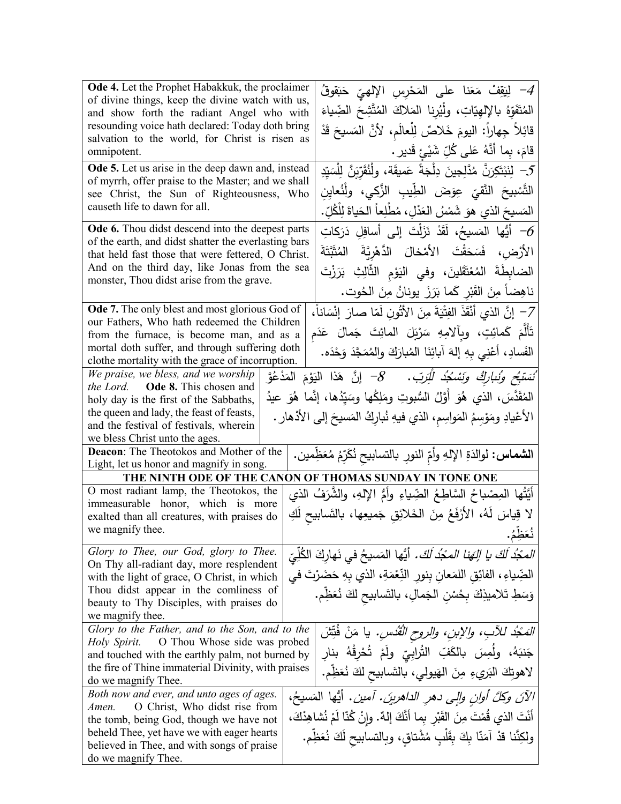| Ode 4. Let the Prophet Habakkuk, the proclaimer                                                    | لِيَقِفْ مَعَنا على المَحْرِسِ الإلهيِّ حَبَقوقُ $-4$                                          |
|----------------------------------------------------------------------------------------------------|------------------------------------------------------------------------------------------------|
| of divine things, keep the divine watch with us,                                                   |                                                                                                |
| and show forth the radiant Angel who with                                                          | المُتَفَوِّهُ باﻹلهِيّاتِ، ولْيُرنا المَلاكَ المُتَّشِحَ الضِّياءَ                             |
| resounding voice hath declared: Today doth bring<br>salvation to the world, for Christ is risen as | قائِلاً جِهاراً: اليومَ خَلاصٌ لِلْعالَمِ، لأنَّ المَسيحَ قَدْ                                 |
| omnipotent.                                                                                        | قامَ، بِما أَنَّهُ عَلى كُلِّ شَيْئٍ قَديرٍ .                                                  |
| Ode 5. Let us arise in the deep dawn and, instead                                                  | <i>5</i> ۖ لِنَبْتَكِرَنَّ مُدَّلِجِينَ دِلْجَةً عَميقَة، ولْنُقَرّبَنَّ لِلْسَيّدِ            |
| of myrrh, offer praise to the Master; and we shall                                                 |                                                                                                |
| see Christ, the Sun of Righteousness, Who                                                          | التَّسْبِيحَ النَّقيِّ عِوَضَ الطِّيبِ الزَّكي، ولِّنُعايِن                                    |
| causeth life to dawn for all.                                                                      | المَسيحَ الذي هوَ شَمْسُ العَدْلِ، مُطْلِعاً الحَياةَ لِلْكُلِّ.                               |
| Ode 6. Thou didst descend into the deepest parts                                                   | أَيُّها المَسيحُ، لَقَدْ نَزَلْتَ إلى أسافِلِ دَرَكاتِ $\delta$                                |
| of the earth, and didst shatter the everlasting bars                                               |                                                                                                |
| that held fast those that were fettered, O Christ.                                                 | الأَرْض، فَسَحَقْتَ الأَمْخالَ الذَّهْرِيَّةَ المُثَبَّتَةَ                                    |
| And on the third day, like Jonas from the sea                                                      | الضابِطَةَ المُعْتَقَلينَ، وفي اليَوْمِ الثَّالِثِ بَرَزْتَ                                    |
| monster, Thou didst arise from the grave.                                                          | ناهِضاً مِنَ القَبْرِ كَما بَرَزَ يونانُ مِنَ الْحُوتِ.                                        |
| Ode 7. The only blest and most glorious God of                                                     | 7– إِنَّ الذي أَنْقَذَ الفِتْيَةَ مِنَ الأَتُونِ لَمّا صارَ إِنْسَاناً،                        |
| our Fathers, Who hath redeemed the Children                                                        |                                                                                                |
| from the furnace, is become man, and as a                                                          | تَأَلَّمَ كَمائِتٍ، وبِألامِهِ سَرْبَلَ المائِتَ جَمالَ عَدَم                                  |
| mortal doth suffer, and through suffering doth                                                     | الفَسادِ، أَعْنِي بِهِ إِلهَ آبائِنَا الْمُبارَكَ والمُمَجَّدَ وَحْدَه.                        |
| clothe mortality with the grace of incorruption.                                                   |                                                                                                |
| We praise, we bless, and we worship                                                                | ُن <i>َسَبَّحُ وُنُنارِكُ وَنَسْكُدُ لِلْرَبِّ.      8-</i> إِنَّ هَذَا الْيَوْمَ الْمَدْعُوَّ |
| the Lord. Ode 8. This chosen and                                                                   | المُقَدَّسَ، الذي هُوَ أَوَّلُ السُّبوتِ ومَلِكُها وسَيِّدُها، إنَّما هُوَ عيدُ                |
| holy day is the first of the Sabbaths,                                                             |                                                                                                |
| the queen and lady, the feast of feasts,<br>and the festival of festivals, wherein                 | الأعْيادِ ومَوْسِمُ المَواسِمِ، الذي فيهِ نُبارِكُ المَسيحَ إلى الأذْهارِ .                    |
|                                                                                                    |                                                                                                |
|                                                                                                    |                                                                                                |
| we bless Christ unto the ages.                                                                     |                                                                                                |
| <b>Deacon:</b> The Theotokos and Mother of the<br>Light, let us honor and magnify in song.         | ا <b>لشماس:</b> لوالدَةِ الإلهِ وأمِّ النورِ بالتسابيح نُكَرِّمُ مُعَظِّمين.                   |
| THE NINTH ODE OF THE CANON OF THOMAS SUNDAY IN TONE ONE                                            |                                                                                                |
| O most radiant lamp, the Theotokos, the                                                            | أَيَّتُها المِصْباحُ السَّاطِعُ الضِّياءِ وأَمُّ اﻹلهِ، والشَّرَفُ الذي                        |
| immeasurable honor, which is more                                                                  |                                                                                                |
| exalted than all creatures, with praises do                                                        | لا قِياسَ لَهُ، الأَرْفَعُ مِنَ الْخَلائِقِ جَميعِها، بالتَسابيح لَكِ                          |
| we magnify thee.                                                                                   | نُعَظِمُ.                                                                                      |
| Glory to Thee, our God, glory to Thee.                                                             | <i>الممْذُ لَكَ يا إلهَنا الممْذُ لَكَ.</i> أيُّها المَسيحُ في نَهارِكَ الكُلِّيِّ             |
| On Thy all-radiant day, more resplendent                                                           |                                                                                                |
| with the light of grace, O Christ, in which                                                        | الْضِّياءِ، الفائِقِ اللَّمَعانِ بِنورِ النِّعْمَةِ، الذي بِهِ حَضَرْتَ في                     |
| Thou didst appear in the comliness of                                                              | وَسَطِ تَلاميذِكَ بِحُسْنِ الجَمالِ، بالتَسابيح لكَ نُعَظِّم.                                  |
| beauty to Thy Disciples, with praises do<br>we magnify thee.                                       |                                                                                                |
| Glory to the Father, and to the Son, and to the                                                    |                                                                                                |
| Holy Spirit. O Thou Whose side was probed                                                          | <i>التَعبُّدُ للأَبِ، والإبنِ، والروح القُدْسِ.</i> يا مَنْ فُثِّثَن                           |
| and touched with the earthly palm, not burned by                                                   | جَنبَهُ، ولَمِسَ بالكَفِّ الثُرابِيِّ ولَمْ تُحْرِقُهُ بنارِ                                   |
| the fire of Thine immaterial Divinity, with praises                                                | لاهوتِكَ البَريءِ مِنَ الهَيولي، بالتَسابيح لكَ نُعَظِّم.                                      |
| do we magnify Thee.                                                                                |                                                                                                |
| Both now and ever, and unto ages of ages.<br>O Christ, Who didst rise from<br>Amen.                | الآنَ وكلَّ أوانِ وإلى دهرِ الداهرينَ. آمين. أيُّها المَسيحُ،                                  |
| the tomb, being God, though we have not                                                            | أَنْتَ الذي قُمْتَ مِنَ القَبْرِ بِما أَنَّكَ إِلهٌ. وإِنْ كُنَّا لَمْ نُشاهِدْكَ،             |
| beheld Thee, yet have we with eager hearts                                                         |                                                                                                |
| believed in Thee, and with songs of praise<br>do we magnify Thee.                                  | ولكِنَّنا قدْ آمَنَّا بِكَ بِقَلْبٍ مُشْتاقٍ، وبِالتسابيح لَكَ نُعَظِّم.                       |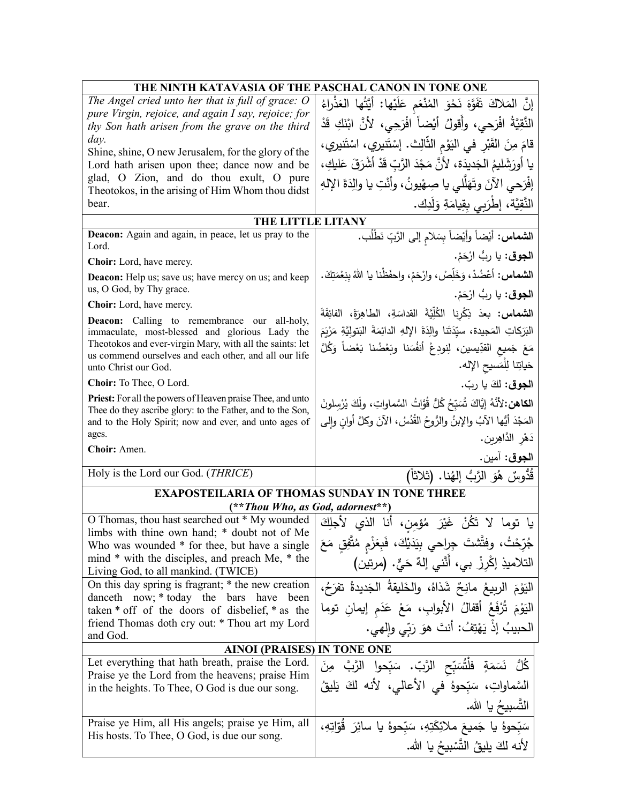| THE NINTH KATAVASIA OF THE PASCHAL CANON IN TONE ONE                                                                 |                                                                                       |  |
|----------------------------------------------------------------------------------------------------------------------|---------------------------------------------------------------------------------------|--|
| The Angel cried unto her that is full of grace: $O$                                                                  | إِنَّ الْمَلاكَ تَفَوَّهَ نَحْوَ الْمُنْعَمِ عَلَيْها: أَيَّتُها الْعَذْرِاءُ         |  |
| pure Virgin, rejoice, and again I say, rejoice; for<br>thy Son hath arisen from the grave on the third               | النَّقِيَّةُ افْرَحي، وأقولُ أَيْضاً افْرَحِي، لأَنَّ ابْنَكِ قَدْ                    |  |
| day.                                                                                                                 | قامَ مِنَ القَبْرِ في اليَوْمِ الثَّالِثِ. إسْتَنيرِي، اسْتَنيرِي،                    |  |
| Shine, shine, O new Jerusalem, for the glory of the                                                                  |                                                                                       |  |
| Lord hath arisen upon thee; dance now and be<br>glad, O Zion, and do thou exult, O pure                              | يا أُورَشَليمُ الجَديدَة، لأَنَّ مَجْدَ الرَّبِّ قَدْ أَشْرَقَ عَليكِ،                |  |
| Theotokos, in the arising of Him Whom thou didst                                                                     | إفْرَحي الآنَ وتَهَلَّلي يا صِهْيونُ، وأَنْتِ يا والِدَةَ الإِلهِ                     |  |
| bear.                                                                                                                | النَّقِيَّة، إطْرَبِي بِقِيامَةِ وَلَدِك.                                             |  |
| THE LITTLE LITANY                                                                                                    |                                                                                       |  |
| Deacon: Again and again, in peace, let us pray to the<br>Lord.                                                       | ال <b>شماس:</b> أَيْضاً وأَيْضاً بِسَلامٍ إلى الرَّبِّ نَطْلَب.                       |  |
| Choir: Lord, have mercy.                                                                                             | ا <b>لجوق</b> : يا ربُّ ارْحَمْ.                                                      |  |
| Deacon: Help us; save us; have mercy on us; and keep                                                                 | ا <b>لشماس:</b> أعْضُدْ، وَخَلِّصْ، وارْحَمْ، واحفَظْنا يا اللهُ بِنِعْمَتِكَ.        |  |
| us, O God, by Thy grace.                                                                                             | ا <b>لجوق</b> : يا رِبُّ ارْحَمْ.                                                     |  |
| Choir: Lord, have mercy.                                                                                             | ا <b>لشماس: بع</b> دَ ذِكْرِنا الْكُلِّيَّةَ القداسَةِ، الطاهِرَةَ، الفائِقَةَ        |  |
| <b>Deacon:</b> Calling to remembrance our all-holy,<br>immaculate, most-blessed and glorious Lady the                | البَرَكاتِ المَجيدة، سيِّدَتَنا والِدَةَ الإِلهِ الدائِمَةَ البَتولِيَّةِ مَرْيَمَ    |  |
| Theotokos and ever-virgin Mary, with all the saints: let                                                             | مَعَ جَميع القدِّيسين، لِنودِعْ أَنفُسَنا وبَعْضُنا بَعْضاً وَكُلَّ                   |  |
| us commend ourselves and each other, and all our life<br>unto Christ our God.                                        | حَياتِنا لِلْمَسيحِ الإِله.                                                           |  |
| Choir: To Thee, O Lord.                                                                                              | ا <b>لجوق:</b> لكَ يا ربّ.                                                            |  |
| Priest: For all the powers of Heaven praise Thee, and unto                                                           | ا <b>لكاهن:</b> 'لأنَّهُ إِيَّاكَ شُبَحُ كُلُّ قُوَّاتُ السَّماواتِ، ولَكَ يُرْسِلونَ |  |
| Thee do they ascribe glory: to the Father, and to the Son,<br>and to the Holy Spirit; now and ever, and unto ages of | المَجْدَ أَيُّها الآبُ والإبنُ والرُّوحُ القُدُسُ، الآنَ وكلَّ أوانِ وإلى             |  |
| ages.                                                                                                                | دَهْرِ الدَّاهِرِينِ.                                                                 |  |
| Choir: Amen.                                                                                                         | ا <b>لجوق</b> : آمين.                                                                 |  |
| Holy is the Lord our God. ( <i>THRICE</i> )                                                                          | قُدُوسٌ هُوَ الرَّبُّ إِلهُنا. (ثلاثاً)                                               |  |
| <b>EXAPOSTEILARIA OF THOMAS SUNDAY IN TONE THREE</b>                                                                 |                                                                                       |  |
| $(**Thou Who, as God, adornest**)$                                                                                   |                                                                                       |  |
| O Thomas, thou hast searched out * My wounded                                                                        | يا توما لا تَكُنْ غَيْرَ مُؤمن، أنا الذي لأجلِكَ                                      |  |
| limbs with thine own hand; * doubt not of Me<br>Who was wounded * for thee, but have a single                        | جُرِّحْتُ، وفتَّشتَ جِراحي بِيَدَيْكَ، فَبِعَزْمِ مُتَّفِقٍ مَعَ                      |  |
| mind * with the disciples, and preach Me, * the                                                                      | التلاميذِ إكْرِزْ بي، أَنَّني إِلهٌ حَيٍّ. (مرتين)                                    |  |
| Living God, to all mankind. (TWICE)                                                                                  |                                                                                       |  |
| On this day spring is fragrant; * the new creation<br>danceth now; * today the bars have<br>been                     | اليَوْمَ الربيعُ مانِحٌ شَذاهُ، والخَليقةُ الجَديدةُ تفرَحُ،                          |  |
| taken $*$ off of the doors of disbelief, $*$ as the                                                                  | اليَوْمَ تُرْفَعُ أقفالُ الأبوابِ، مَعْ عَدَمِ إيمانِ توما                            |  |
| friend Thomas doth cry out: * Thou art my Lord                                                                       | الحبيبُ إِذْ يَهْتِفُ: أَنتَ هوَ رَبِّي وإِلهي.                                       |  |
| and God.                                                                                                             |                                                                                       |  |
| <b>AINOI (PRAISES) IN TONE ONE</b>                                                                                   |                                                                                       |  |
| Let everything that hath breath, praise the Lord.<br>Praise ye the Lord from the heavens; praise Him                 | ݣُلُّ   نَسَمَةٍ    فَلْثُسَبِّحِ    الرَّبِّ.    سَبِّحوا    الرَّبَّ    مِنَ        |  |
| in the heights. To Thee, O God is due our song.                                                                      | السَّماواتِ، سَبّحوهُ في الأعالى، لأنه لكَ يَليقُ                                     |  |
|                                                                                                                      | التِّسبيحُ يا الله.                                                                   |  |
| Praise ye Him, all His angels; praise ye Him, all                                                                    | سَبّحوهُ يا جَميعَ ملائِكَتِهِ، سَبّحوهُ يا سائِرَ  قَوّاتِهِ،                        |  |
| His hosts. To Thee, O God, is due our song.                                                                          | لأنه لكَ يليقُ التَّسْبِيحُ يا الله.                                                  |  |
|                                                                                                                      |                                                                                       |  |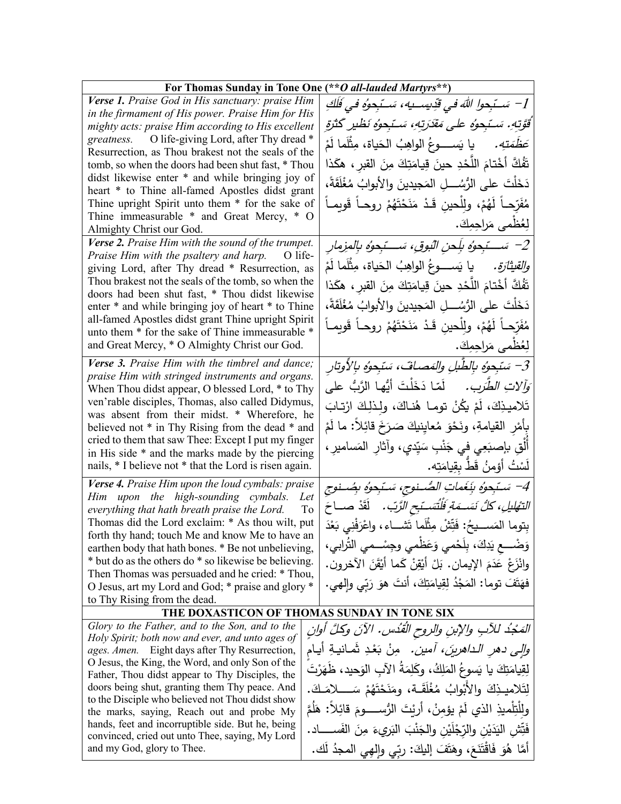| For Thomas Sunday in Tone One (** O all-lauded Martyrs**)                                                 |                                                                               |  |
|-----------------------------------------------------------------------------------------------------------|-------------------------------------------------------------------------------|--|
| Verse 1. Praise God in His sanctuary: praise Him                                                          | 1– سَــتَبِحول اللهَ في قَدِيسِــيه، سَــتَبِحوهُ في قَلْكِ                   |  |
| in the firmament of His power. Praise Him for His                                                         | ُقَوِّتِهِ. سَــَّبِحوُهِ على مَقَدَرِتِهِ، سَــَبِحوُهُ نَظْير كَثَرَةٍ      |  |
| mighty acts: praise Him according to His excellent<br>greatness. O life-giving Lord, after Thy dread *    |                                                                               |  |
| Resurrection, as Thou brakest not the seals of the                                                        | صَ <i>َطَّمَتِه .</i> يا يَســــــوعُ الواهِبُ الحَياة، مِثْلَما لَمْ         |  |
| tomb, so when the doors had been shut fast, * Thou                                                        | تَفُكَّ أَخْتامَ اللَّحْدِ حينَ قِيامَتِكَ مِنَ القبرِ ، هكَذا                |  |
| didst likewise enter * and while bringing joy of                                                          | دَخَلْتَ على الرُّسُــــلِ المَجيدينَ والأبوابُ مُغْلَقَةً،                   |  |
| heart * to Thine all-famed Apostles didst grant                                                           |                                                                               |  |
| Thine upright Spirit unto them * for the sake of<br>Thine immeasurable * and Great Mercy, * O             | مُفَرّحاً لَهُمْ، ولِلْحينِ قَدْ مَنَحْتَهُمْ روحـاً قَويمـاً                 |  |
| Almighty Christ our God.                                                                                  | لِعُظْمى مَراحِمِكَ.                                                          |  |
| <b>Verse 2.</b> Praise Him with the sound of the trumpet.                                                 | 2–  سَــــَـبِحوهُ بِلْـحنِ النُبوقِ، سَــــَـبِحوهُ بِالمزمارِ               |  |
| Praise Him with the psaltery and harp.<br>O life-                                                         |                                                                               |  |
| giving Lord, after Thy dread * Resurrection, as                                                           | يا يَســـــوعُ الواهِبُ الحَياة، مِثْلَما لَمْ<br>والقيثارة.                  |  |
| Thou brakest not the seals of the tomb, so when the<br>doors had been shut fast, * Thou didst likewise    | تَفُكَّ أَخْتامَ اللَّحْدِ حينَ قِيامَتِكَ مِنَ القبرِ ، هكذا                 |  |
| enter * and while bringing joy of heart * to Thine                                                        | دَخَلْتَ على الرُّسُــــلِ المَجيدينَ والأبوابُ مُغْلَقَةً،                   |  |
| all-famed Apostles didst grant Thine upright Spirit<br>unto them * for the sake of Thine immeasurable *   | مُفَرِّحــاً لَهُمْ، ولِلْحينِ قَـدْ مَنَحْتَهُمْ روحـاً قَويمـاً             |  |
| and Great Mercy, * O Almighty Christ our God.                                                             | لِعُظمى مَراحِمِكَ.                                                           |  |
| Verse 3. Praise Him with the timbrel and dance;                                                           | 3– سَبْحوُه بالطّبلِ والمَصـافّ، سَبْحوُه بالأوتار                            |  |
| praise Him with stringed instruments and organs.<br>When Thou didst appear, O blessed Lord, * to Thy      | َ <i>وَلَاتِ الطَّرَبِ.</i> لَمّا دَخَلْتَ أَيُّها الرَّبُّ على               |  |
| ven'rable disciples, Thomas, also called Didymus,                                                         | تَلاميذِكَ، لَمْ يكُنْ تومـا هُنـاكَ، ولـذلِكَ ارْتـابَ                       |  |
| was absent from their midst. * Wherefore, he                                                              |                                                                               |  |
| believed not * in Thy Rising from the dead * and<br>cried to them that saw Thee: Except I put my finger   | بِأَمْرِ القيامةِ، ونَحْوَ مُعايِنيكَ صَرَخَ قائِلاً: ما لَمْ                 |  |
| in His side * and the marks made by the piercing                                                          | أَلْقِ بِإِصْبَعِي فِي جَنْبِ سَيِّدِي، وآثارِ الْمَساميرِ،                   |  |
| nails, * I believe not * that the Lord is risen again.                                                    | لَسْتُ أَوْمنُ قَطَّ بِقِيامَتِه.                                             |  |
| Verse 4. Praise Him upon the loud cymbals: praise<br>Him upon the high-sounding cymbals.                  | 4– سَبِّحوهُ بِنَغَماتِ الصُّـنوجِ، سَبِّحوهُ بِصُـنوجِ<br>Let                |  |
| everything that hath breath praise the Lord.                                                              | التهْليلِ، كُلُّ نَسَسَمَةٍ فَلْتَسَبِّحِ الرَّبِّ.       أَقَدْ صــاحَ<br>To |  |
| Thomas did the Lord exclaim: * As thou wilt, put<br>forth thy hand; touch Me and know Me to have an       | بتوما المَســـيحُ: فَتِّشْ مِثْلَما تَشـــاء، واعْرَفْنِي بَعْدَ              |  |
| earthen body that hath bones. * Be not unbelieving,                                                       | وَضْــــع يَدِكَ، بِلَحْمي وَعَظْمي وجِسْـــمى الثُرابي،                      |  |
| * but do as the others do * so likewise be believing.                                                     | وانْزَعْ عَدَمَ الإيمان. بَلْ أَيْقِنْ كَما أَيْقَنَ الْأَخْرُونِ.            |  |
| Then Thomas was persuaded and he cried: * Thou,<br>O Jesus, art my Lord and God; * praise and glory *     | فَهَتَفَ توما: المَجْدُ لِقِيامَتِكَ، أَنتَ هوَ رَبِّي وإلهي.                 |  |
| to Thy Rising from the dead.                                                                              |                                                                               |  |
|                                                                                                           | THE DOXASTICON OF THOMAS SUNDAY IN TONE SIX                                   |  |
| Glory to the Father, and to the Son, and to the                                                           | المَجْدُ للآبِ والإبنِ والروحِ القُدُسِ. الآنَ وكلَّ أوانِ                    |  |
| Holy Spirit; both now and ever, and unto ages of<br><i>ages. Amen.</i> Eight days after Thy Resurrection, | <i>والى دهرِ الـداهرينَ، أمين.</i> مِنْ بَعْدِ نَمانيةِ أيـام                 |  |
| O Jesus, the King, the Word, and only Son of the                                                          | لِقِيامَتِكَ يا يَسوعُ المَلِكُ، وكَلِمَةُ الآبِ الوَحيدِ، ظَهَرْتَ           |  |
| Father, Thou didst appear to Thy Disciples, the                                                           |                                                                               |  |
| doors being shut, granting them Thy peace. And<br>to the Disciple who believed not Thou didst show        | لِتَلامِيـٰذِكَ والأَبْوابُ مُغْلَقَـة، ومَنَحْتَهُمْ سَـــــلامَـكَ.         |  |
| the marks, saying, Reach out and probe My                                                                 | ولِلْتِلْمِيذِ الَّذِي لَمْ يؤمِنْ، أُرِيْتَ الرُّسِــــومَ قَائِلاً: هَلَمَّ |  |
| hands, feet and incorruptible side. But he, being                                                         | فَتِّشِ الْيَدَيْنِ والرّجْلَيْنِ والْجَنْبَ الْبَرِيءَ مِنَ الْفَســـــاد.   |  |
| convinced, cried out unto Thee, saying, My Lord<br>and my God, glory to Thee.                             | أَمَّا هُوَ فَاقْتَنَعَ، وهَتَفَ إِلَيْكَ: ربّي وإِلْهِي المجدُ لَك.          |  |
|                                                                                                           |                                                                               |  |